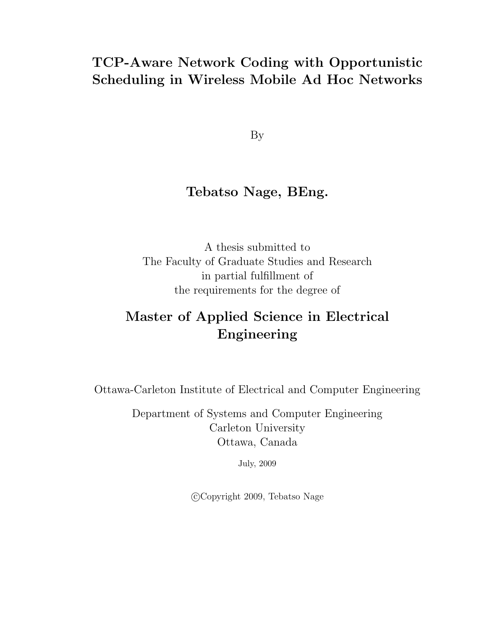# TCP-Aware Network Coding with Opportunistic Scheduling in Wireless Mobile Ad Hoc Networks

By

# Tebatso Nage, BEng.

A thesis submitted to The Faculty of Graduate Studies and Research in partial fulfillment of the requirements for the degree of

# Master of Applied Science in Electrical Engineering

Ottawa-Carleton Institute of Electrical and Computer Engineering

Department of Systems and Computer Engineering Carleton University Ottawa, Canada

July, 2009

°c Copyright 2009, Tebatso Nage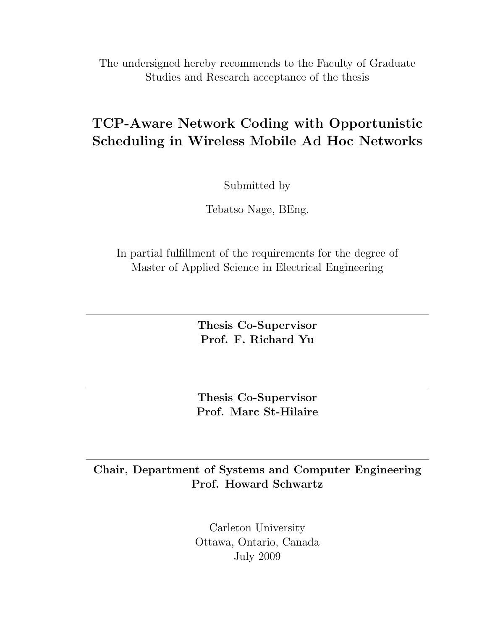The undersigned hereby recommends to the Faculty of Graduate Studies and Research acceptance of the thesis

# TCP-Aware Network Coding with Opportunistic Scheduling in Wireless Mobile Ad Hoc Networks

Submitted by

Tebatso Nage, BEng.

In partial fulfillment of the requirements for the degree of Master of Applied Science in Electrical Engineering

> Thesis Co-Supervisor Prof. F. Richard Yu

Thesis Co-Supervisor Prof. Marc St-Hilaire

# Chair, Department of Systems and Computer Engineering Prof. Howard Schwartz

Carleton University Ottawa, Ontario, Canada July 2009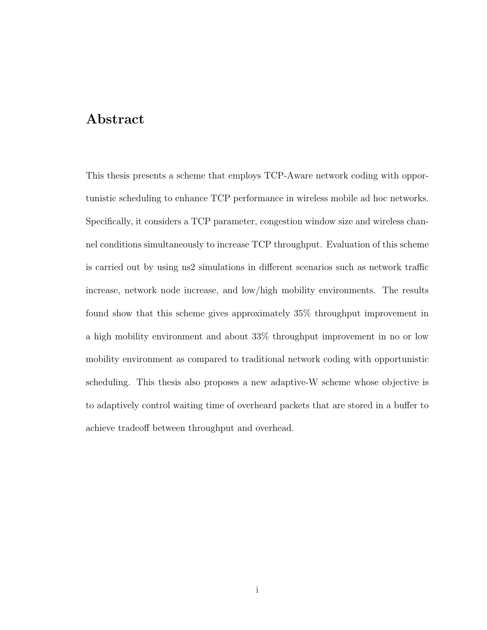# Abstract

This thesis presents a scheme that employs TCP-Aware network coding with opportunistic scheduling to enhance TCP performance in wireless mobile ad hoc networks. Specifically, it considers a TCP parameter, congestion window size and wireless channel conditions simultaneously to increase TCP throughput. Evaluation of this scheme is carried out by using ns2 simulations in different scenarios such as network traffic increase, network node increase, and low/high mobility environments. The results found show that this scheme gives approximately 35% throughput improvement in a high mobility environment and about 33% throughput improvement in no or low mobility environment as compared to traditional network coding with opportunistic scheduling. This thesis also proposes a new adaptive-W scheme whose objective is to adaptively control waiting time of overheard packets that are stored in a buffer to achieve tradeoff between throughput and overhead.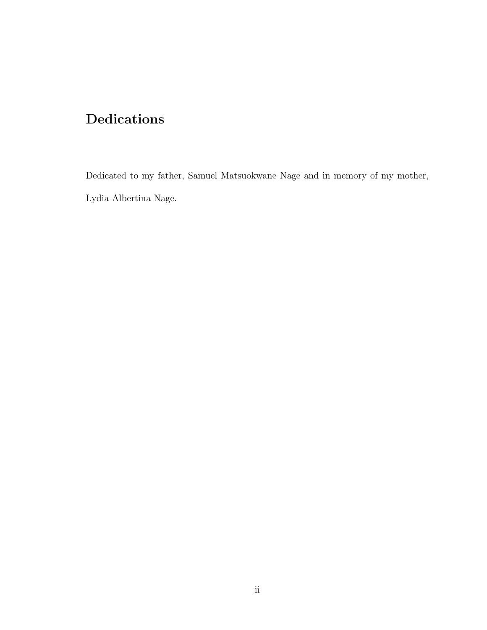# Dedications

Dedicated to my father, Samuel Matsuokwane Nage and in memory of my mother, Lydia Albertina Nage.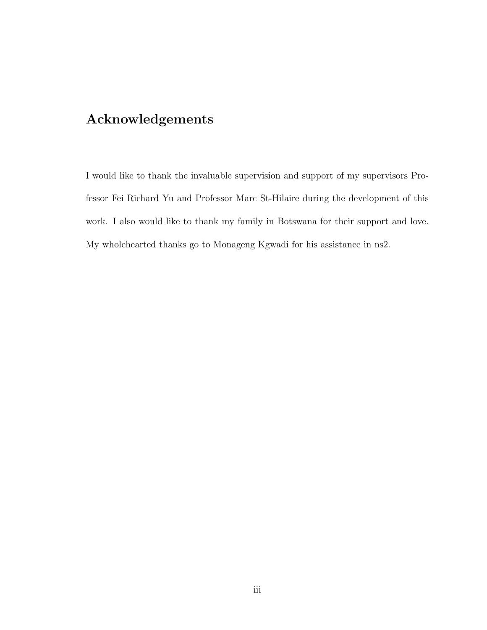# Acknowledgements

I would like to thank the invaluable supervision and support of my supervisors Professor Fei Richard Yu and Professor Marc St-Hilaire during the development of this work. I also would like to thank my family in Botswana for their support and love. My wholehearted thanks go to Monageng Kgwadi for his assistance in ns2.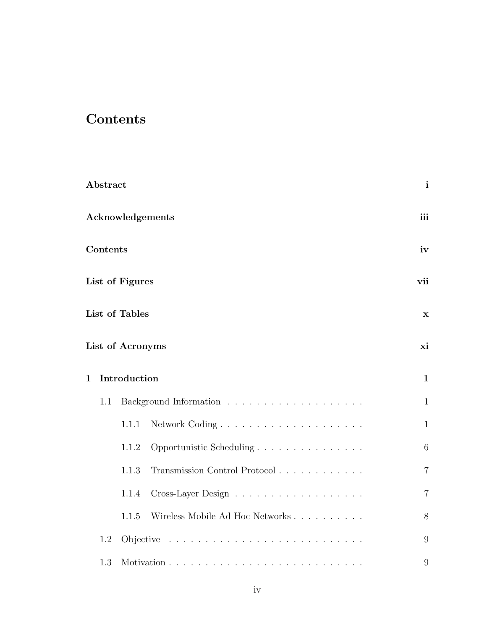# **Contents**

|                         | Abstract |                  |                                 | $\mathbf{i}$   |
|-------------------------|----------|------------------|---------------------------------|----------------|
| <b>Acknowledgements</b> |          |                  | iii                             |                |
| Contents                |          |                  | iv                              |                |
| List of Figures         |          |                  | vii                             |                |
|                         |          | List of Tables   |                                 | $\mathbf x$    |
|                         |          | List of Acronyms |                                 | xi             |
| $\mathbf 1$             |          | Introduction     |                                 | $\mathbf{1}$   |
|                         | 1.1      |                  |                                 | $\mathbf{1}$   |
|                         |          | 1.1.1            |                                 | $\mathbf{1}$   |
|                         |          | 1.1.2            | Opportunistic Scheduling        | 6              |
|                         |          | 1.1.3            | Transmission Control Protocol   | $\overline{7}$ |
|                         |          | 1.1.4            |                                 | $\overline{7}$ |
|                         |          | 1.1.5            | Wireless Mobile Ad Hoc Networks | 8              |
|                         | 1.2      |                  |                                 | 9              |
|                         | 1.3      |                  |                                 | 9              |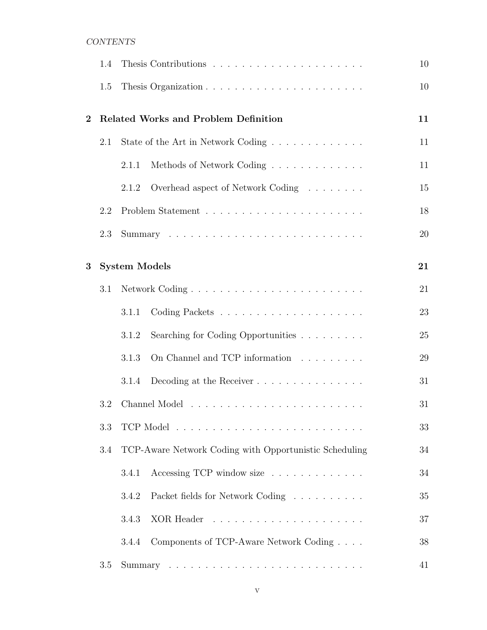## CONTENTS

|          | 1.4 |                      |                                                                                 | 10 |
|----------|-----|----------------------|---------------------------------------------------------------------------------|----|
|          | 1.5 |                      |                                                                                 | 10 |
| $\bf{2}$ |     |                      | <b>Related Works and Problem Definition</b>                                     | 11 |
|          | 2.1 |                      | State of the Art in Network Coding                                              | 11 |
|          |     | 2.1.1                | Methods of Network Coding                                                       | 11 |
|          |     | 2.1.2                | Overhead aspect of Network Coding                                               | 15 |
|          | 2.2 |                      |                                                                                 | 18 |
|          | 2.3 |                      |                                                                                 | 20 |
| 3        |     | <b>System Models</b> |                                                                                 | 21 |
|          | 3.1 |                      |                                                                                 | 21 |
|          |     | 3.1.1                |                                                                                 | 23 |
|          |     | 3.1.2                | Searching for Coding Opportunities                                              | 25 |
|          |     | 3.1.3                | On Channel and TCP information                                                  | 29 |
|          |     | 3.1.4                |                                                                                 | 31 |
|          | 3.2 |                      |                                                                                 | 31 |
|          | 3.3 |                      |                                                                                 | 33 |
|          | 3.4 |                      | TCP-Aware Network Coding with Opportunistic Scheduling                          | 34 |
|          |     | 3.4.1                | Accessing TCP window size                                                       | 34 |
|          |     | 3.4.2                | Packet fields for Network Coding                                                | 35 |
|          |     | 3.4.3                |                                                                                 | 37 |
|          |     | 3.4.4                | Components of TCP-Aware Network Coding                                          | 38 |
|          | 3.5 |                      | Summary $\ldots \ldots \ldots \ldots \ldots \ldots \ldots \ldots \ldots \ldots$ | 41 |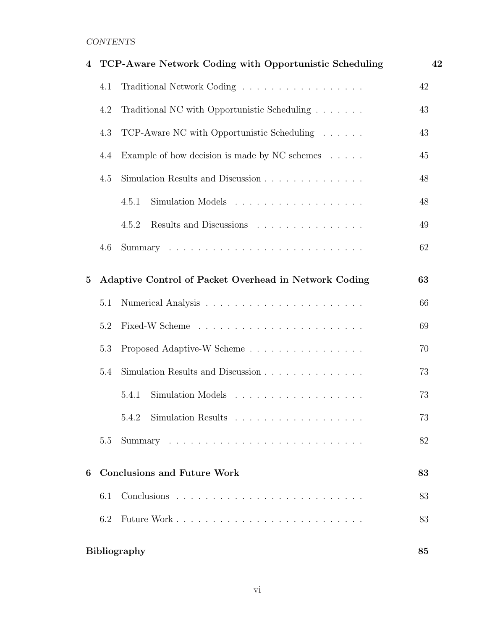## CONTENTS

| 4        |     | TCP-Aware Network Coding with Opportunistic Scheduling  | 42 |
|----------|-----|---------------------------------------------------------|----|
|          | 4.1 | Traditional Network Coding                              | 42 |
|          | 4.2 | Traditional NC with Opportunistic Scheduling            | 43 |
|          | 4.3 | TCP-Aware NC with Opportunistic Scheduling              | 43 |
|          | 4.4 | Example of how decision is made by NC schemes $\dots$ . | 45 |
|          | 4.5 | Simulation Results and Discussion                       | 48 |
|          |     | Simulation Models<br>4.5.1                              | 48 |
|          |     | 4.5.2<br>Results and Discussions                        | 49 |
|          | 4.6 |                                                         | 62 |
| $\bf{5}$ |     | Adaptive Control of Packet Overhead in Network Coding   | 63 |
|          | 5.1 |                                                         | 66 |
|          | 5.2 |                                                         | 69 |
|          | 5.3 | Proposed Adaptive-W Scheme                              | 70 |
|          | 5.4 | Simulation Results and Discussion                       |    |
|          |     | 5.4.1                                                   | 73 |
|          |     | Simulation Results<br>5.4.2<br>.                        | 73 |
|          | 5.5 |                                                         | 82 |
| 6        |     | <b>Conclusions and Future Work</b>                      | 83 |
|          | 6.1 |                                                         | 83 |
|          | 6.2 |                                                         | 83 |
|          |     | <b>Bibliography</b>                                     | 85 |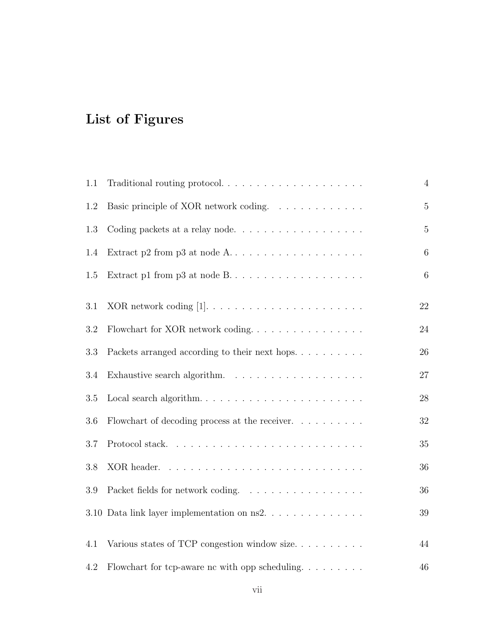# List of Figures

| 1.1 |                                                                        | $\overline{4}$ |
|-----|------------------------------------------------------------------------|----------------|
| 1.2 | Basic principle of XOR network coding.                                 | $\mathbf 5$    |
| 1.3 | Coding packets at a relay node                                         | $\overline{5}$ |
| 1.4 | Extract p2 from p3 at node $A \dots \dots \dots \dots \dots \dots$     | $\,6\,$        |
| 1.5 |                                                                        | $\,6\,$        |
| 3.1 |                                                                        | 22             |
| 3.2 | Flowchart for XOR network coding                                       | $24\,$         |
| 3.3 | Packets arranged according to their next hops. $\ldots$                | 26             |
| 3.4 |                                                                        | 27             |
| 3.5 |                                                                        | 28             |
| 3.6 | Flowchart of decoding process at the receiver. $\ldots \ldots \ldots$  | $32\,$         |
| 3.7 |                                                                        | $35\,$         |
| 3.8 |                                                                        | 36             |
| 3.9 | Packet fields for network coding.                                      | 36             |
|     | 3.10 Data link layer implementation on ns2.                            | 39             |
| 4.1 | Various states of TCP congestion window size                           | 44             |
| 4.2 | Flowchart for tcp-aware nc with opp scheduling. $\ldots \ldots \ldots$ | 46             |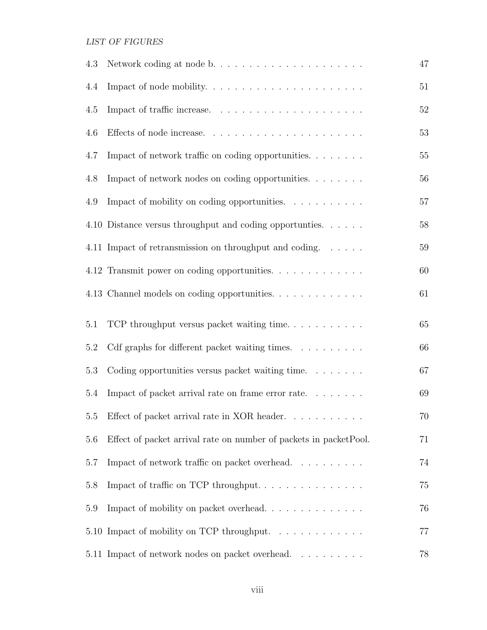## LIST OF FIGURES

| 4.3     | Network coding at node b                                            | 47     |
|---------|---------------------------------------------------------------------|--------|
| 4.4     |                                                                     | $51\,$ |
| 4.5     |                                                                     | 52     |
| 4.6     |                                                                     | 53     |
| 4.7     | Impact of network traffic on coding opportunities                   | $55\,$ |
| 4.8     | Impact of network nodes on coding opportunities.                    | 56     |
| 4.9     | Impact of mobility on coding opportunities.                         | $57\,$ |
|         | 4.10 Distance versus throughput and coding opportunies.             | $58\,$ |
|         | 4.11 Impact of retransmission on throughput and coding.             | $59\,$ |
|         | 4.12 Transmit power on coding opportunities.                        | 60     |
|         | 4.13 Channel models on coding opportunities.                        | 61     |
| 5.1     | TCP throughput versus packet waiting time                           | $65\,$ |
| $5.2\,$ | Cdf graphs for different packet waiting times.                      | 66     |
| 5.3     | Coding opportunities versus packet waiting time. $\dots \dots$      | 67     |
| 5.4     | Impact of packet arrival rate on frame error rate                   | 69     |
| 5.5     | Effect of packet arrival rate in XOR header. $\ldots \ldots \ldots$ | 70     |
| 5.6     | Effect of packet arrival rate on number of packets in packet Pool.  | 71     |
| 5.7     | Impact of network traffic on packet overhead.                       | 74     |
| 5.8     | Impact of traffic on TCP throughput                                 | 75     |
| 5.9     | Impact of mobility on packet overhead                               | 76     |
|         | 5.10 Impact of mobility on TCP throughput.                          | 77     |
|         | 5.11 Impact of network nodes on packet overhead.                    | 78     |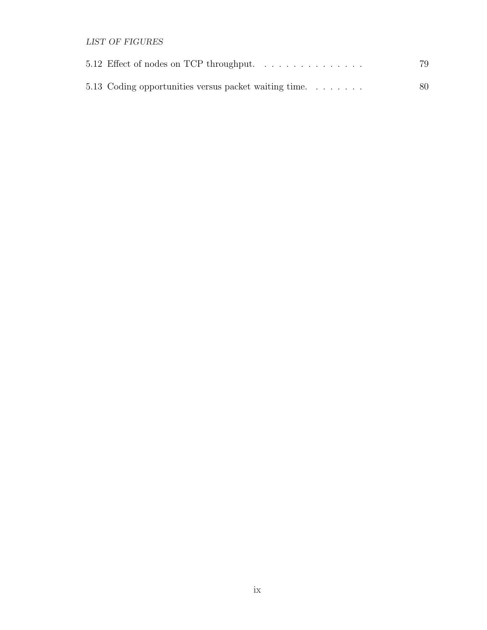LIST OF FIGURES

| 5.12 Effect of nodes on TCP throughput               | 79 |
|------------------------------------------------------|----|
| 5.13 Coding opportunities versus packet waiting time | 80 |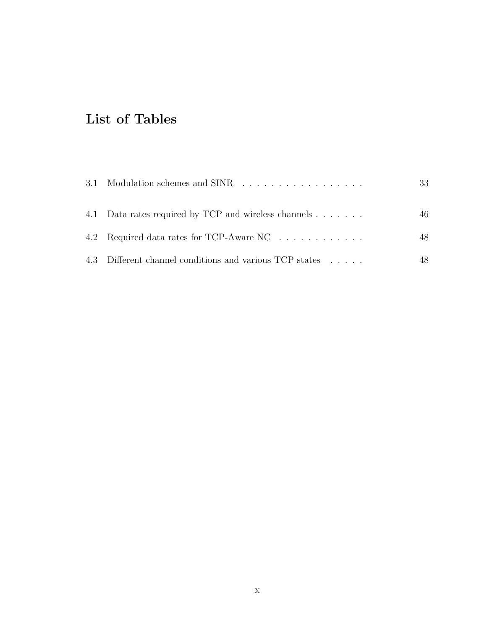# List of Tables

| 3.1 Modulation schemes and SINR                         | 33 |
|---------------------------------------------------------|----|
| 4.1 Data rates required by TCP and wireless channels    | 46 |
| 4.2 Required data rates for TCP-Aware NC                | 48 |
| 4.3 Different channel conditions and various TCP states | 48 |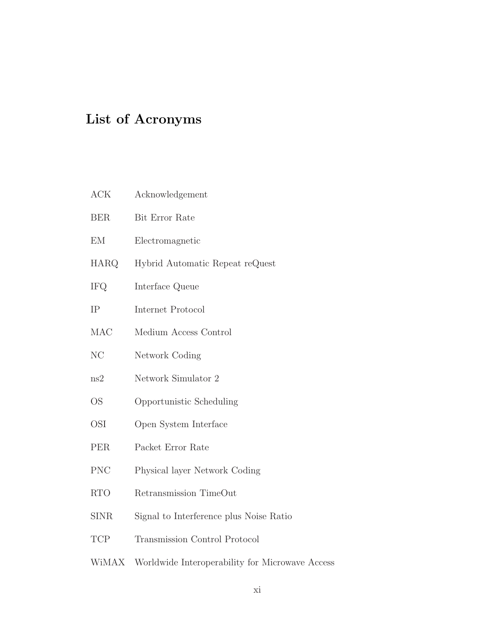# List of Acronyms

- ACK Acknowledgement
- BER Bit Error Rate
- EM Electromagnetic
- HARQ Hybrid Automatic Repeat reQuest
- IFQ Interface Queue
- IP Internet Protocol
- MAC Medium Access Control
- NC Network Coding
- ns2 Network Simulator 2
- OS Opportunistic Scheduling
- OSI Open System Interface
- PER Packet Error Rate
- PNC Physical layer Network Coding
- RTO Retransmission TimeOut
- SINR Signal to Interference plus Noise Ratio
- TCP Transmission Control Protocol
- WiMAX Worldwide Interoperability for Microwave Access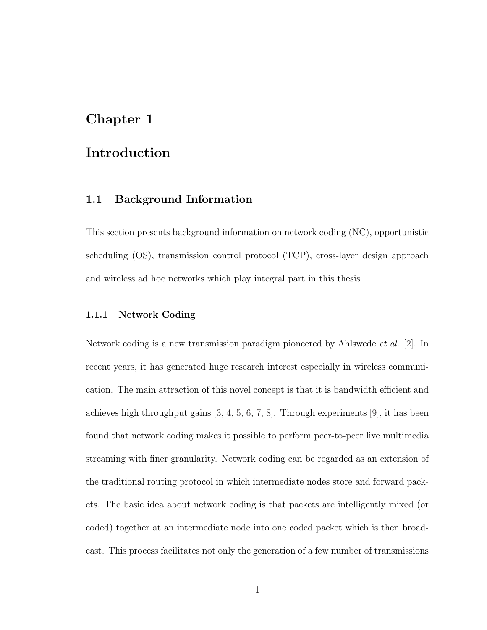## Chapter 1

## Introduction

### 1.1 Background Information

This section presents background information on network coding (NC), opportunistic scheduling (OS), transmission control protocol (TCP), cross-layer design approach and wireless ad hoc networks which play integral part in this thesis.

#### 1.1.1 Network Coding

Network coding is a new transmission paradigm pioneered by Ahlswede et al. [2]. In recent years, it has generated huge research interest especially in wireless communication. The main attraction of this novel concept is that it is bandwidth efficient and achieves high throughput gains [3, 4, 5, 6, 7, 8]. Through experiments [9], it has been found that network coding makes it possible to perform peer-to-peer live multimedia streaming with finer granularity. Network coding can be regarded as an extension of the traditional routing protocol in which intermediate nodes store and forward packets. The basic idea about network coding is that packets are intelligently mixed (or coded) together at an intermediate node into one coded packet which is then broadcast. This process facilitates not only the generation of a few number of transmissions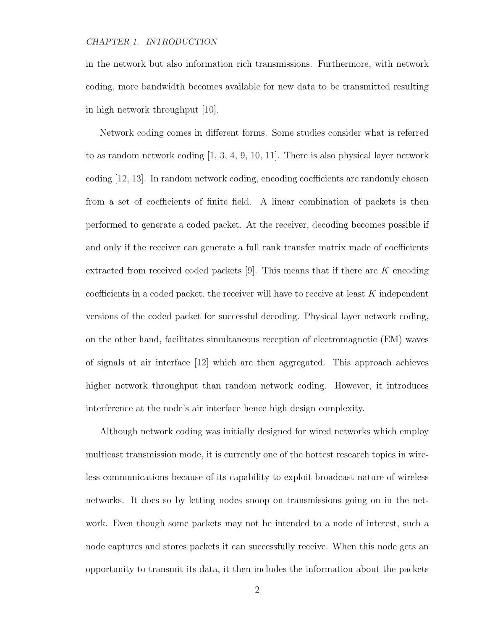in the network but also information rich transmissions. Furthermore, with network coding, more bandwidth becomes available for new data to be transmitted resulting in high network throughput [10].

Network coding comes in different forms. Some studies consider what is referred to as random network coding [1, 3, 4, 9, 10, 11]. There is also physical layer network coding [12, 13]. In random network coding, encoding coefficients are randomly chosen from a set of coefficients of finite field. A linear combination of packets is then performed to generate a coded packet. At the receiver, decoding becomes possible if and only if the receiver can generate a full rank transfer matrix made of coefficients extracted from received coded packets  $[9]$ . This means that if there are K encoding coefficients in a coded packet, the receiver will have to receive at least  $K$  independent versions of the coded packet for successful decoding. Physical layer network coding, on the other hand, facilitates simultaneous reception of electromagnetic (EM) waves of signals at air interface [12] which are then aggregated. This approach achieves higher network throughput than random network coding. However, it introduces interference at the node's air interface hence high design complexity.

Although network coding was initially designed for wired networks which employ multicast transmission mode, it is currently one of the hottest research topics in wireless communications because of its capability to exploit broadcast nature of wireless networks. It does so by letting nodes snoop on transmissions going on in the network. Even though some packets may not be intended to a node of interest, such a node captures and stores packets it can successfully receive. When this node gets an opportunity to transmit its data, it then includes the information about the packets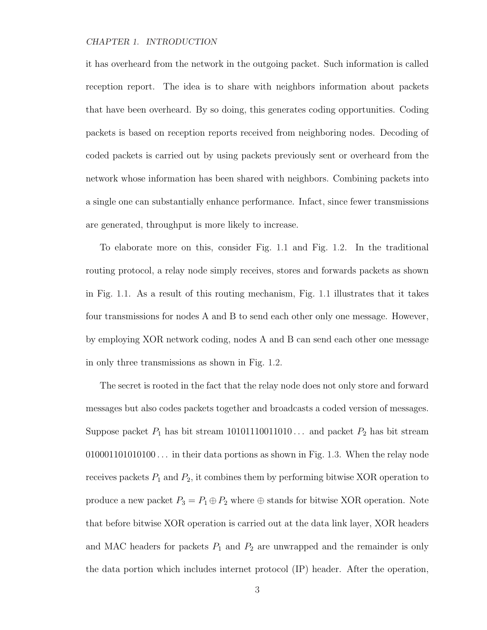it has overheard from the network in the outgoing packet. Such information is called reception report. The idea is to share with neighbors information about packets that have been overheard. By so doing, this generates coding opportunities. Coding packets is based on reception reports received from neighboring nodes. Decoding of coded packets is carried out by using packets previously sent or overheard from the network whose information has been shared with neighbors. Combining packets into a single one can substantially enhance performance. Infact, since fewer transmissions are generated, throughput is more likely to increase.

To elaborate more on this, consider Fig. 1.1 and Fig. 1.2. In the traditional routing protocol, a relay node simply receives, stores and forwards packets as shown in Fig. 1.1. As a result of this routing mechanism, Fig. 1.1 illustrates that it takes four transmissions for nodes A and B to send each other only one message. However, by employing XOR network coding, nodes A and B can send each other one message in only three transmissions as shown in Fig. 1.2.

The secret is rooted in the fact that the relay node does not only store and forward messages but also codes packets together and broadcasts a coded version of messages. Suppose packet  $P_1$  has bit stream 10101110011010... and packet  $P_2$  has bit stream  $010001101010100...$  in their data portions as shown in Fig. 1.3. When the relay node receives packets  $P_1$  and  $P_2$ , it combines them by performing bitwise XOR operation to produce a new packet  $P_3 = P_1 \oplus P_2$  where  $\oplus$  stands for bitwise XOR operation. Note that before bitwise XOR operation is carried out at the data link layer, XOR headers and MAC headers for packets  $P_1$  and  $P_2$  are unwrapped and the remainder is only the data portion which includes internet protocol (IP) header. After the operation,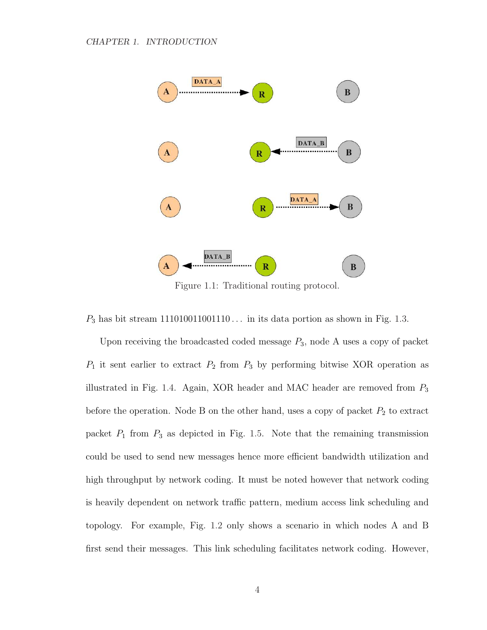

Figure 1.1: Traditional routing protocol.

 $P_3$  has bit stream 111010011001110 ... in its data portion as shown in Fig. 1.3.

Upon receiving the broadcasted coded message  $P_3$ , node A uses a copy of packet  $P_1$  it sent earlier to extract  $P_2$  from  $P_3$  by performing bitwise XOR operation as illustrated in Fig. 1.4. Again, XOR header and MAC header are removed from  $P_3$ before the operation. Node B on the other hand, uses a copy of packet  $P_2$  to extract packet  $P_1$  from  $P_3$  as depicted in Fig. 1.5. Note that the remaining transmission could be used to send new messages hence more efficient bandwidth utilization and high throughput by network coding. It must be noted however that network coding is heavily dependent on network traffic pattern, medium access link scheduling and topology. For example, Fig. 1.2 only shows a scenario in which nodes A and B first send their messages. This link scheduling facilitates network coding. However,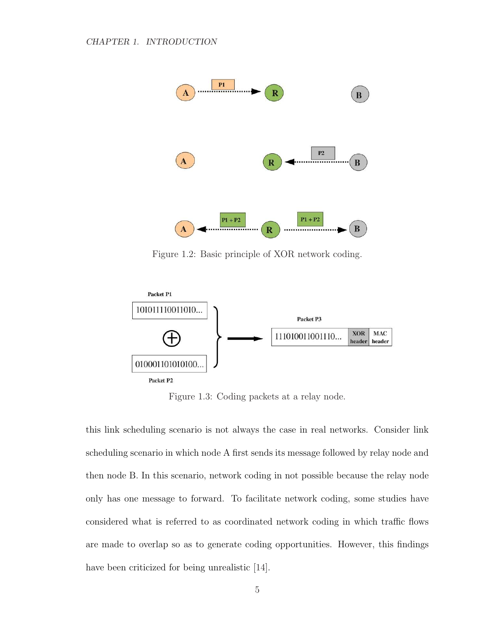

Figure 1.2: Basic principle of XOR network coding.



Figure 1.3: Coding packets at a relay node.

this link scheduling scenario is not always the case in real networks. Consider link scheduling scenario in which node A first sends its message followed by relay node and then node B. In this scenario, network coding in not possible because the relay node only has one message to forward. To facilitate network coding, some studies have considered what is referred to as coordinated network coding in which traffic flows are made to overlap so as to generate coding opportunities. However, this findings have been criticized for being unrealistic [14].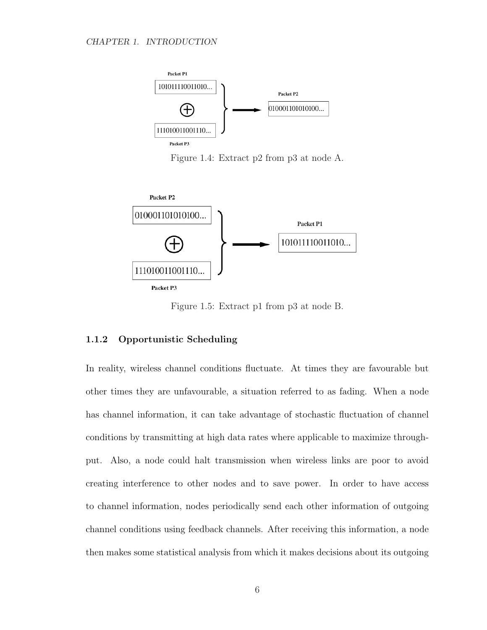

Figure 1.4: Extract p2 from p3 at node A.



Figure 1.5: Extract p1 from p3 at node B.

#### 1.1.2 Opportunistic Scheduling

In reality, wireless channel conditions fluctuate. At times they are favourable but other times they are unfavourable, a situation referred to as fading. When a node has channel information, it can take advantage of stochastic fluctuation of channel conditions by transmitting at high data rates where applicable to maximize throughput. Also, a node could halt transmission when wireless links are poor to avoid creating interference to other nodes and to save power. In order to have access to channel information, nodes periodically send each other information of outgoing channel conditions using feedback channels. After receiving this information, a node then makes some statistical analysis from which it makes decisions about its outgoing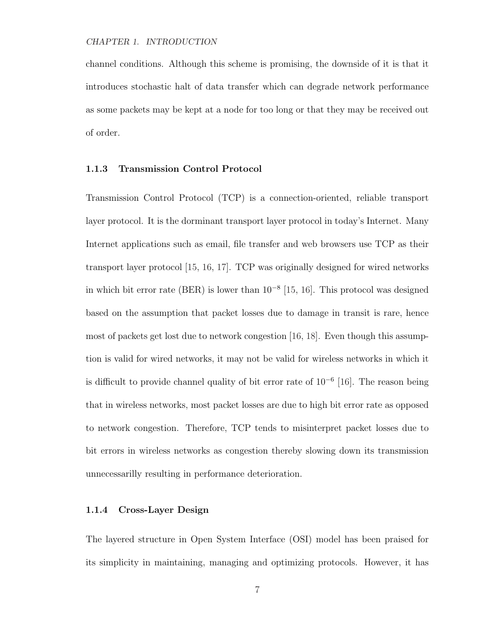channel conditions. Although this scheme is promising, the downside of it is that it introduces stochastic halt of data transfer which can degrade network performance as some packets may be kept at a node for too long or that they may be received out of order.

#### 1.1.3 Transmission Control Protocol

Transmission Control Protocol (TCP) is a connection-oriented, reliable transport layer protocol. It is the dorminant transport layer protocol in today's Internet. Many Internet applications such as email, file transfer and web browsers use TCP as their transport layer protocol [15, 16, 17]. TCP was originally designed for wired networks in which bit error rate (BER) is lower than  $10^{-8}$  [15, 16]. This protocol was designed based on the assumption that packet losses due to damage in transit is rare, hence most of packets get lost due to network congestion [16, 18]. Even though this assumption is valid for wired networks, it may not be valid for wireless networks in which it is difficult to provide channel quality of bit error rate of  $10^{-6}$  [16]. The reason being that in wireless networks, most packet losses are due to high bit error rate as opposed to network congestion. Therefore, TCP tends to misinterpret packet losses due to bit errors in wireless networks as congestion thereby slowing down its transmission unnecessarilly resulting in performance deterioration.

#### 1.1.4 Cross-Layer Design

The layered structure in Open System Interface (OSI) model has been praised for its simplicity in maintaining, managing and optimizing protocols. However, it has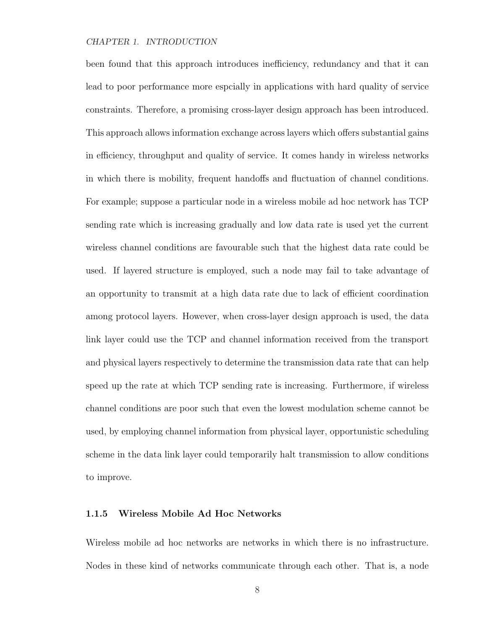been found that this approach introduces inefficiency, redundancy and that it can lead to poor performance more espcially in applications with hard quality of service constraints. Therefore, a promising cross-layer design approach has been introduced. This approach allows information exchange across layers which offers substantial gains in efficiency, throughput and quality of service. It comes handy in wireless networks in which there is mobility, frequent handoffs and fluctuation of channel conditions. For example; suppose a particular node in a wireless mobile ad hoc network has TCP sending rate which is increasing gradually and low data rate is used yet the current wireless channel conditions are favourable such that the highest data rate could be used. If layered structure is employed, such a node may fail to take advantage of an opportunity to transmit at a high data rate due to lack of efficient coordination among protocol layers. However, when cross-layer design approach is used, the data link layer could use the TCP and channel information received from the transport and physical layers respectively to determine the transmission data rate that can help speed up the rate at which TCP sending rate is increasing. Furthermore, if wireless channel conditions are poor such that even the lowest modulation scheme cannot be used, by employing channel information from physical layer, opportunistic scheduling scheme in the data link layer could temporarily halt transmission to allow conditions to improve.

#### 1.1.5 Wireless Mobile Ad Hoc Networks

Wireless mobile ad hoc networks are networks in which there is no infrastructure. Nodes in these kind of networks communicate through each other. That is, a node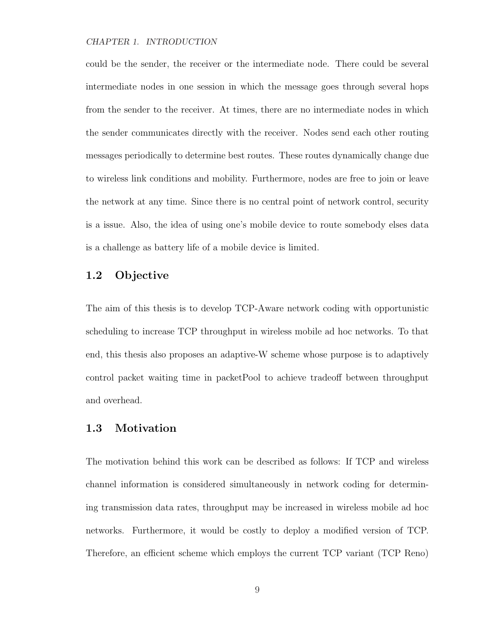could be the sender, the receiver or the intermediate node. There could be several intermediate nodes in one session in which the message goes through several hops from the sender to the receiver. At times, there are no intermediate nodes in which the sender communicates directly with the receiver. Nodes send each other routing messages periodically to determine best routes. These routes dynamically change due to wireless link conditions and mobility. Furthermore, nodes are free to join or leave the network at any time. Since there is no central point of network control, security is a issue. Also, the idea of using one's mobile device to route somebody elses data is a challenge as battery life of a mobile device is limited.

### 1.2 Objective

The aim of this thesis is to develop TCP-Aware network coding with opportunistic scheduling to increase TCP throughput in wireless mobile ad hoc networks. To that end, this thesis also proposes an adaptive-W scheme whose purpose is to adaptively control packet waiting time in packetPool to achieve tradeoff between throughput and overhead.

### 1.3 Motivation

The motivation behind this work can be described as follows: If TCP and wireless channel information is considered simultaneously in network coding for determining transmission data rates, throughput may be increased in wireless mobile ad hoc networks. Furthermore, it would be costly to deploy a modified version of TCP. Therefore, an efficient scheme which employs the current TCP variant (TCP Reno)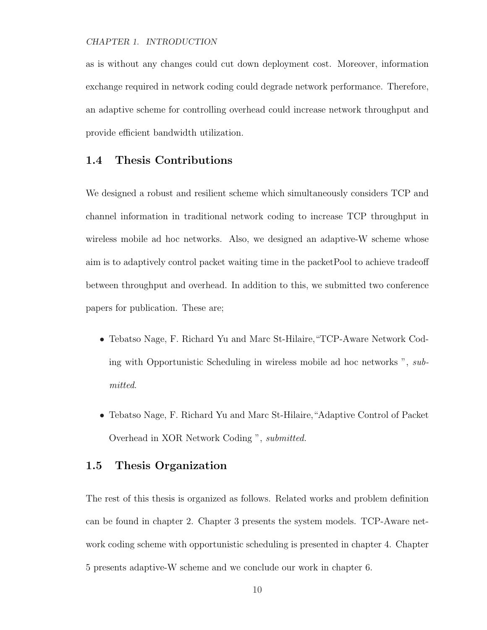as is without any changes could cut down deployment cost. Moreover, information exchange required in network coding could degrade network performance. Therefore, an adaptive scheme for controlling overhead could increase network throughput and provide efficient bandwidth utilization.

### 1.4 Thesis Contributions

We designed a robust and resilient scheme which simultaneously considers TCP and channel information in traditional network coding to increase TCP throughput in wireless mobile ad hoc networks. Also, we designed an adaptive-W scheme whose aim is to adaptively control packet waiting time in the packetPool to achieve tradeoff between throughput and overhead. In addition to this, we submitted two conference papers for publication. These are;

- Tebatso Nage, F. Richard Yu and Marc St-Hilaire,"TCP-Aware Network Coding with Opportunistic Scheduling in wireless mobile ad hoc networks ", submitted.
- Tebatso Nage, F. Richard Yu and Marc St-Hilaire,"Adaptive Control of Packet Overhead in XOR Network Coding ", submitted.

## 1.5 Thesis Organization

The rest of this thesis is organized as follows. Related works and problem definition can be found in chapter 2. Chapter 3 presents the system models. TCP-Aware network coding scheme with opportunistic scheduling is presented in chapter 4. Chapter 5 presents adaptive-W scheme and we conclude our work in chapter 6.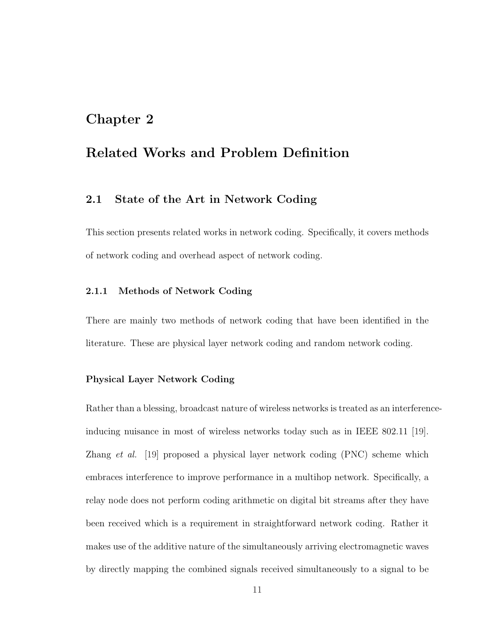## Chapter 2

## Related Works and Problem Definition

## 2.1 State of the Art in Network Coding

This section presents related works in network coding. Specifically, it covers methods of network coding and overhead aspect of network coding.

#### 2.1.1 Methods of Network Coding

There are mainly two methods of network coding that have been identified in the literature. These are physical layer network coding and random network coding.

#### Physical Layer Network Coding

Rather than a blessing, broadcast nature of wireless networks is treated as an interferenceinducing nuisance in most of wireless networks today such as in IEEE 802.11 [19]. Zhang et al. [19] proposed a physical layer network coding (PNC) scheme which embraces interference to improve performance in a multihop network. Specifically, a relay node does not perform coding arithmetic on digital bit streams after they have been received which is a requirement in straightforward network coding. Rather it makes use of the additive nature of the simultaneously arriving electromagnetic waves by directly mapping the combined signals received simultaneously to a signal to be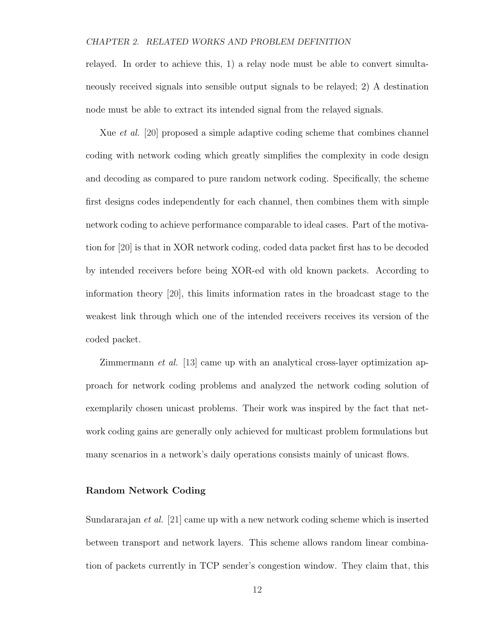relayed. In order to achieve this, 1) a relay node must be able to convert simultaneously received signals into sensible output signals to be relayed; 2) A destination node must be able to extract its intended signal from the relayed signals.

Xue et al. [20] proposed a simple adaptive coding scheme that combines channel coding with network coding which greatly simplifies the complexity in code design and decoding as compared to pure random network coding. Specifically, the scheme first designs codes independently for each channel, then combines them with simple network coding to achieve performance comparable to ideal cases. Part of the motivation for [20] is that in XOR network coding, coded data packet first has to be decoded by intended receivers before being XOR-ed with old known packets. According to information theory [20], this limits information rates in the broadcast stage to the weakest link through which one of the intended receivers receives its version of the coded packet.

Zimmermann et al. [13] came up with an analytical cross-layer optimization approach for network coding problems and analyzed the network coding solution of exemplarily chosen unicast problems. Their work was inspired by the fact that network coding gains are generally only achieved for multicast problem formulations but many scenarios in a network's daily operations consists mainly of unicast flows.

#### Random Network Coding

Sundararajan et al. [21] came up with a new network coding scheme which is inserted between transport and network layers. This scheme allows random linear combination of packets currently in TCP sender's congestion window. They claim that, this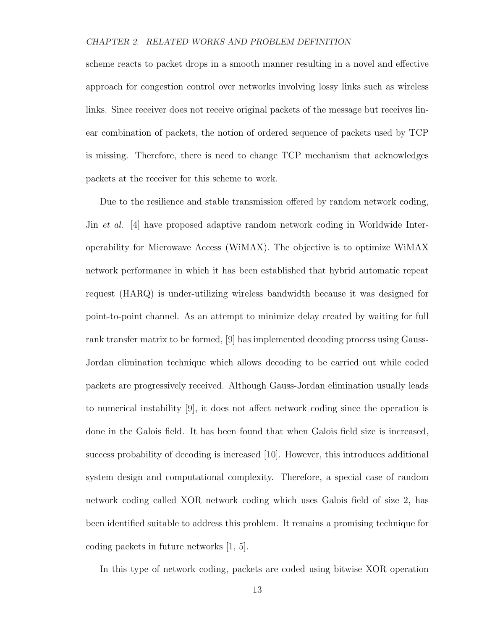scheme reacts to packet drops in a smooth manner resulting in a novel and effective approach for congestion control over networks involving lossy links such as wireless links. Since receiver does not receive original packets of the message but receives linear combination of packets, the notion of ordered sequence of packets used by TCP is missing. Therefore, there is need to change TCP mechanism that acknowledges packets at the receiver for this scheme to work.

Due to the resilience and stable transmission offered by random network coding, Jin et al. [4] have proposed adaptive random network coding in Worldwide Interoperability for Microwave Access (WiMAX). The objective is to optimize WiMAX network performance in which it has been established that hybrid automatic repeat request (HARQ) is under-utilizing wireless bandwidth because it was designed for point-to-point channel. As an attempt to minimize delay created by waiting for full rank transfer matrix to be formed, [9] has implemented decoding process using Gauss-Jordan elimination technique which allows decoding to be carried out while coded packets are progressively received. Although Gauss-Jordan elimination usually leads to numerical instability [9], it does not affect network coding since the operation is done in the Galois field. It has been found that when Galois field size is increased, success probability of decoding is increased [10]. However, this introduces additional system design and computational complexity. Therefore, a special case of random network coding called XOR network coding which uses Galois field of size 2, has been identified suitable to address this problem. It remains a promising technique for coding packets in future networks [1, 5].

In this type of network coding, packets are coded using bitwise XOR operation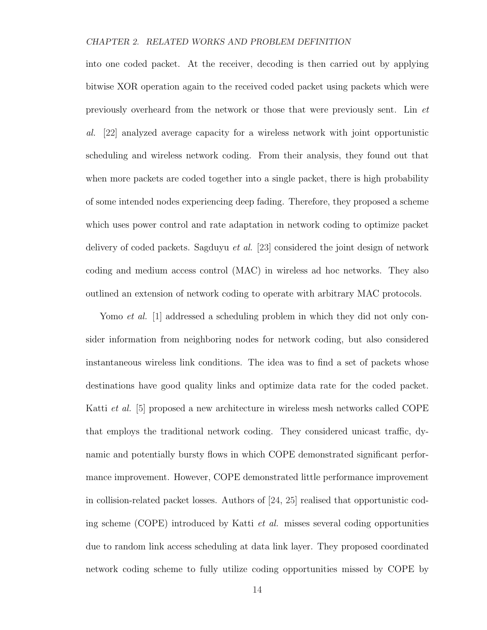into one coded packet. At the receiver, decoding is then carried out by applying bitwise XOR operation again to the received coded packet using packets which were previously overheard from the network or those that were previously sent. Lin et al. [22] analyzed average capacity for a wireless network with joint opportunistic scheduling and wireless network coding. From their analysis, they found out that when more packets are coded together into a single packet, there is high probability of some intended nodes experiencing deep fading. Therefore, they proposed a scheme which uses power control and rate adaptation in network coding to optimize packet delivery of coded packets. Sagduyu *et al.* [23] considered the joint design of network coding and medium access control (MAC) in wireless ad hoc networks. They also outlined an extension of network coding to operate with arbitrary MAC protocols.

Yomo *et al.* [1] addressed a scheduling problem in which they did not only consider information from neighboring nodes for network coding, but also considered instantaneous wireless link conditions. The idea was to find a set of packets whose destinations have good quality links and optimize data rate for the coded packet. Katti et al. [5] proposed a new architecture in wireless mesh networks called COPE that employs the traditional network coding. They considered unicast traffic, dynamic and potentially bursty flows in which COPE demonstrated significant performance improvement. However, COPE demonstrated little performance improvement in collision-related packet losses. Authors of [24, 25] realised that opportunistic coding scheme (COPE) introduced by Katti  $et \ al.$  misses several coding opportunities due to random link access scheduling at data link layer. They proposed coordinated network coding scheme to fully utilize coding opportunities missed by COPE by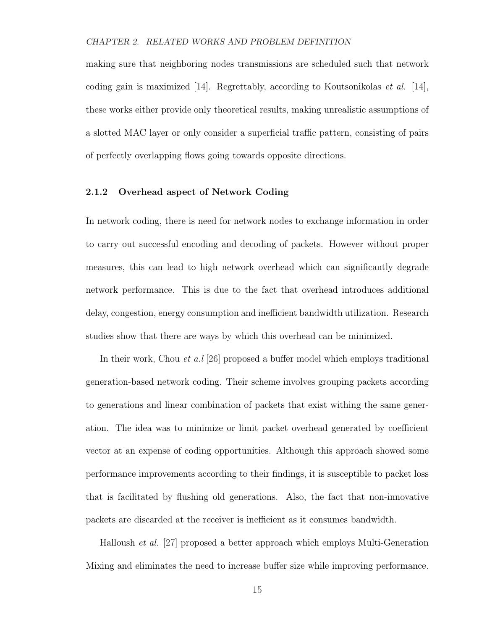making sure that neighboring nodes transmissions are scheduled such that network coding gain is maximized  $[14]$ . Regrettably, according to Koutsonikolas *et al.*  $[14]$ , these works either provide only theoretical results, making unrealistic assumptions of a slotted MAC layer or only consider a superficial traffic pattern, consisting of pairs of perfectly overlapping flows going towards opposite directions.

### 2.1.2 Overhead aspect of Network Coding

In network coding, there is need for network nodes to exchange information in order to carry out successful encoding and decoding of packets. However without proper measures, this can lead to high network overhead which can significantly degrade network performance. This is due to the fact that overhead introduces additional delay, congestion, energy consumption and inefficient bandwidth utilization. Research studies show that there are ways by which this overhead can be minimized.

In their work, Chou *et a.l* [26] proposed a buffer model which employs traditional generation-based network coding. Their scheme involves grouping packets according to generations and linear combination of packets that exist withing the same generation. The idea was to minimize or limit packet overhead generated by coefficient vector at an expense of coding opportunities. Although this approach showed some performance improvements according to their findings, it is susceptible to packet loss that is facilitated by flushing old generations. Also, the fact that non-innovative packets are discarded at the receiver is inefficient as it consumes bandwidth.

Halloush et al. [27] proposed a better approach which employs Multi-Generation Mixing and eliminates the need to increase buffer size while improving performance.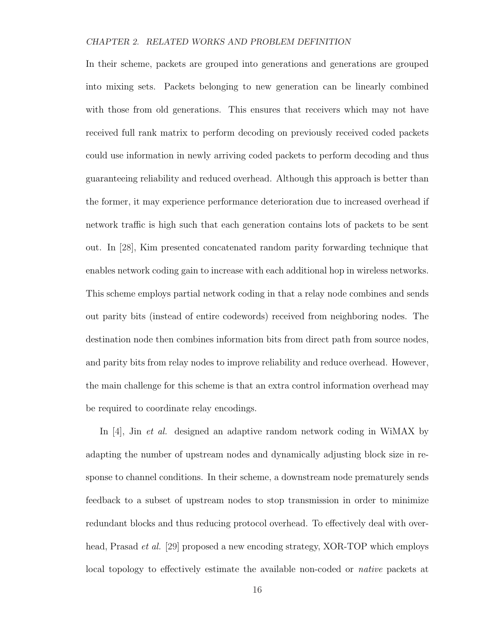In their scheme, packets are grouped into generations and generations are grouped into mixing sets. Packets belonging to new generation can be linearly combined with those from old generations. This ensures that receivers which may not have received full rank matrix to perform decoding on previously received coded packets could use information in newly arriving coded packets to perform decoding and thus guaranteeing reliability and reduced overhead. Although this approach is better than the former, it may experience performance deterioration due to increased overhead if network traffic is high such that each generation contains lots of packets to be sent out. In [28], Kim presented concatenated random parity forwarding technique that enables network coding gain to increase with each additional hop in wireless networks. This scheme employs partial network coding in that a relay node combines and sends out parity bits (instead of entire codewords) received from neighboring nodes. The destination node then combines information bits from direct path from source nodes, and parity bits from relay nodes to improve reliability and reduce overhead. However, the main challenge for this scheme is that an extra control information overhead may be required to coordinate relay encodings.

In [4], Jin *et al.* designed an adaptive random network coding in WiMAX by adapting the number of upstream nodes and dynamically adjusting block size in response to channel conditions. In their scheme, a downstream node prematurely sends feedback to a subset of upstream nodes to stop transmission in order to minimize redundant blocks and thus reducing protocol overhead. To effectively deal with overhead, Prasad *et al.* [29] proposed a new encoding strategy, XOR-TOP which employs local topology to effectively estimate the available non-coded or native packets at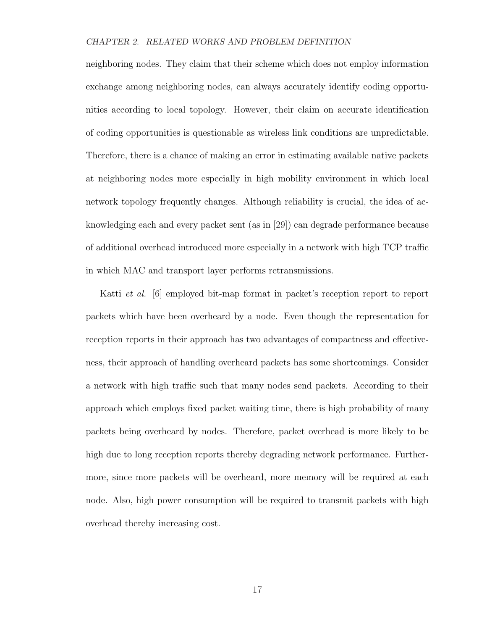neighboring nodes. They claim that their scheme which does not employ information exchange among neighboring nodes, can always accurately identify coding opportunities according to local topology. However, their claim on accurate identification of coding opportunities is questionable as wireless link conditions are unpredictable. Therefore, there is a chance of making an error in estimating available native packets at neighboring nodes more especially in high mobility environment in which local network topology frequently changes. Although reliability is crucial, the idea of acknowledging each and every packet sent (as in [29]) can degrade performance because of additional overhead introduced more especially in a network with high TCP traffic in which MAC and transport layer performs retransmissions.

Katti et al. [6] employed bit-map format in packet's reception report to report packets which have been overheard by a node. Even though the representation for reception reports in their approach has two advantages of compactness and effectiveness, their approach of handling overheard packets has some shortcomings. Consider a network with high traffic such that many nodes send packets. According to their approach which employs fixed packet waiting time, there is high probability of many packets being overheard by nodes. Therefore, packet overhead is more likely to be high due to long reception reports thereby degrading network performance. Furthermore, since more packets will be overheard, more memory will be required at each node. Also, high power consumption will be required to transmit packets with high overhead thereby increasing cost.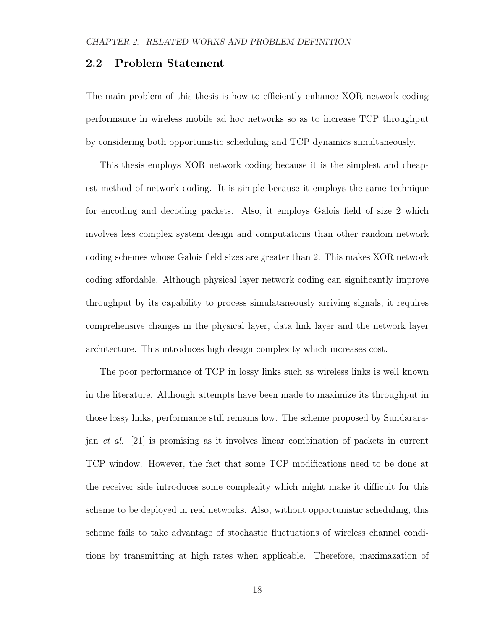### 2.2 Problem Statement

The main problem of this thesis is how to efficiently enhance XOR network coding performance in wireless mobile ad hoc networks so as to increase TCP throughput by considering both opportunistic scheduling and TCP dynamics simultaneously.

This thesis employs XOR network coding because it is the simplest and cheapest method of network coding. It is simple because it employs the same technique for encoding and decoding packets. Also, it employs Galois field of size 2 which involves less complex system design and computations than other random network coding schemes whose Galois field sizes are greater than 2. This makes XOR network coding affordable. Although physical layer network coding can significantly improve throughput by its capability to process simulataneously arriving signals, it requires comprehensive changes in the physical layer, data link layer and the network layer architecture. This introduces high design complexity which increases cost.

The poor performance of TCP in lossy links such as wireless links is well known in the literature. Although attempts have been made to maximize its throughput in those lossy links, performance still remains low. The scheme proposed by Sundararajan et al. [21] is promising as it involves linear combination of packets in current TCP window. However, the fact that some TCP modifications need to be done at the receiver side introduces some complexity which might make it difficult for this scheme to be deployed in real networks. Also, without opportunistic scheduling, this scheme fails to take advantage of stochastic fluctuations of wireless channel conditions by transmitting at high rates when applicable. Therefore, maximazation of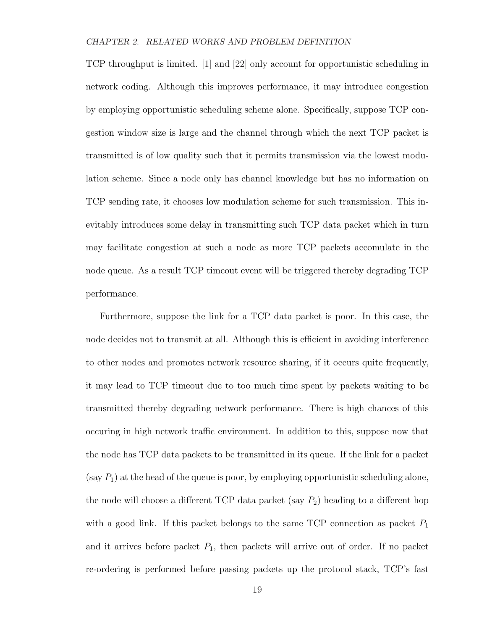TCP throughput is limited. [1] and [22] only account for opportunistic scheduling in network coding. Although this improves performance, it may introduce congestion by employing opportunistic scheduling scheme alone. Specifically, suppose TCP congestion window size is large and the channel through which the next TCP packet is transmitted is of low quality such that it permits transmission via the lowest modulation scheme. Since a node only has channel knowledge but has no information on TCP sending rate, it chooses low modulation scheme for such transmission. This inevitably introduces some delay in transmitting such TCP data packet which in turn may facilitate congestion at such a node as more TCP packets accomulate in the node queue. As a result TCP timeout event will be triggered thereby degrading TCP performance.

Furthermore, suppose the link for a TCP data packet is poor. In this case, the node decides not to transmit at all. Although this is efficient in avoiding interference to other nodes and promotes network resource sharing, if it occurs quite frequently, it may lead to TCP timeout due to too much time spent by packets waiting to be transmitted thereby degrading network performance. There is high chances of this occuring in high network traffic environment. In addition to this, suppose now that the node has TCP data packets to be transmitted in its queue. If the link for a packet (say  $P_1$ ) at the head of the queue is poor, by employing opportunistic scheduling alone, the node will choose a different TCP data packet (say  $P_2$ ) heading to a different hop with a good link. If this packet belongs to the same TCP connection as packet  $P_1$ and it arrives before packet  $P_1$ , then packets will arrive out of order. If no packet re-ordering is performed before passing packets up the protocol stack, TCP's fast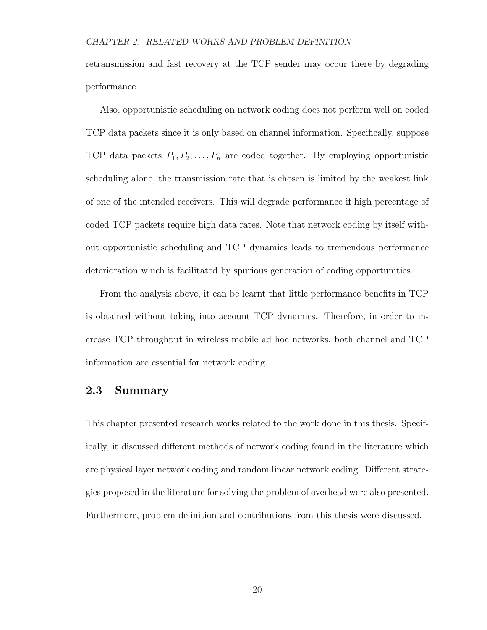retransmission and fast recovery at the TCP sender may occur there by degrading performance.

Also, opportunistic scheduling on network coding does not perform well on coded TCP data packets since it is only based on channel information. Specifically, suppose TCP data packets  $P_1, P_2, \ldots, P_n$  are coded together. By employing opportunistic scheduling alone, the transmission rate that is chosen is limited by the weakest link of one of the intended receivers. This will degrade performance if high percentage of coded TCP packets require high data rates. Note that network coding by itself without opportunistic scheduling and TCP dynamics leads to tremendous performance deterioration which is facilitated by spurious generation of coding opportunities.

From the analysis above, it can be learnt that little performance benefits in TCP is obtained without taking into account TCP dynamics. Therefore, in order to increase TCP throughput in wireless mobile ad hoc networks, both channel and TCP information are essential for network coding.

## 2.3 Summary

This chapter presented research works related to the work done in this thesis. Specifically, it discussed different methods of network coding found in the literature which are physical layer network coding and random linear network coding. Different strategies proposed in the literature for solving the problem of overhead were also presented. Furthermore, problem definition and contributions from this thesis were discussed.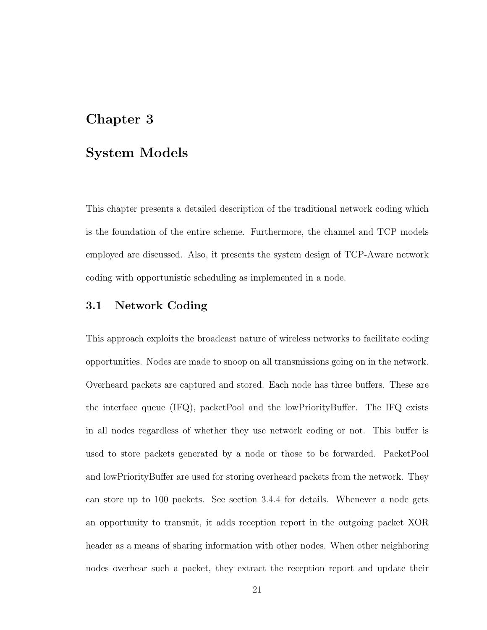# Chapter 3

## System Models

This chapter presents a detailed description of the traditional network coding which is the foundation of the entire scheme. Furthermore, the channel and TCP models employed are discussed. Also, it presents the system design of TCP-Aware network coding with opportunistic scheduling as implemented in a node.

## 3.1 Network Coding

This approach exploits the broadcast nature of wireless networks to facilitate coding opportunities. Nodes are made to snoop on all transmissions going on in the network. Overheard packets are captured and stored. Each node has three buffers. These are the interface queue (IFQ), packetPool and the lowPriorityBuffer. The IFQ exists in all nodes regardless of whether they use network coding or not. This buffer is used to store packets generated by a node or those to be forwarded. PacketPool and lowPriorityBuffer are used for storing overheard packets from the network. They can store up to 100 packets. See section 3.4.4 for details. Whenever a node gets an opportunity to transmit, it adds reception report in the outgoing packet XOR header as a means of sharing information with other nodes. When other neighboring nodes overhear such a packet, they extract the reception report and update their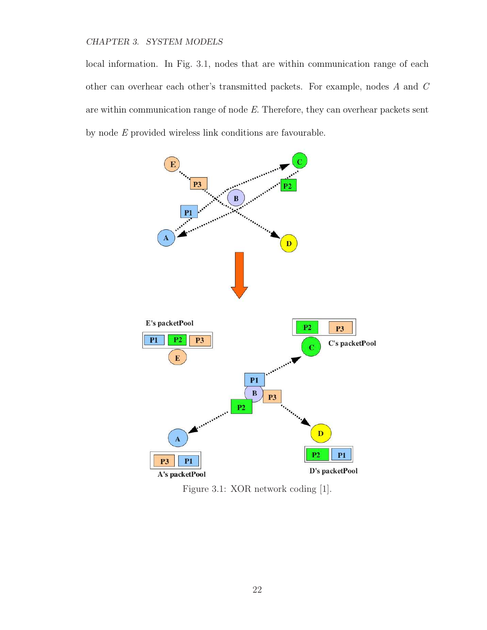#### CHAPTER 3. SYSTEM MODELS

local information. In Fig. 3.1, nodes that are within communication range of each other can overhear each other's transmitted packets. For example, nodes A and C are within communication range of node E. Therefore, they can overhear packets sent by node E provided wireless link conditions are favourable.



Figure 3.1: XOR network coding [1].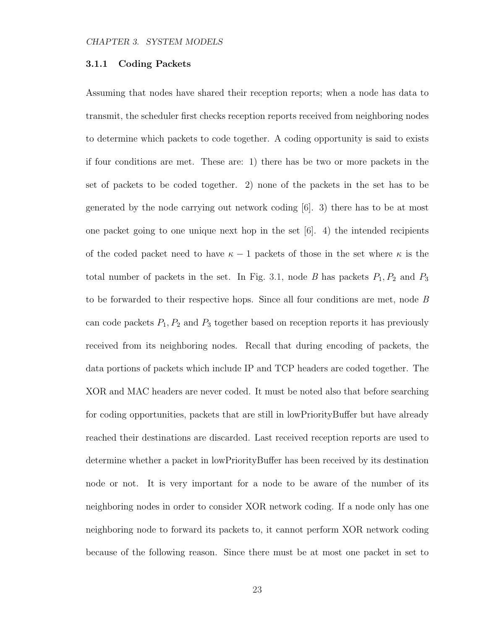#### 3.1.1 Coding Packets

Assuming that nodes have shared their reception reports; when a node has data to transmit, the scheduler first checks reception reports received from neighboring nodes to determine which packets to code together. A coding opportunity is said to exists if four conditions are met. These are: 1) there has be two or more packets in the set of packets to be coded together. 2) none of the packets in the set has to be generated by the node carrying out network coding [6]. 3) there has to be at most one packet going to one unique next hop in the set  $[6]$ . 4) the intended recipients of the coded packet need to have  $\kappa - 1$  packets of those in the set where  $\kappa$  is the total number of packets in the set. In Fig. 3.1, node B has packets  $P_1, P_2$  and  $P_3$ to be forwarded to their respective hops. Since all four conditions are met, node B can code packets  $P_1, P_2$  and  $P_3$  together based on reception reports it has previously received from its neighboring nodes. Recall that during encoding of packets, the data portions of packets which include IP and TCP headers are coded together. The XOR and MAC headers are never coded. It must be noted also that before searching for coding opportunities, packets that are still in lowPriorityBuffer but have already reached their destinations are discarded. Last received reception reports are used to determine whether a packet in lowPriorityBuffer has been received by its destination node or not. It is very important for a node to be aware of the number of its neighboring nodes in order to consider XOR network coding. If a node only has one neighboring node to forward its packets to, it cannot perform XOR network coding because of the following reason. Since there must be at most one packet in set to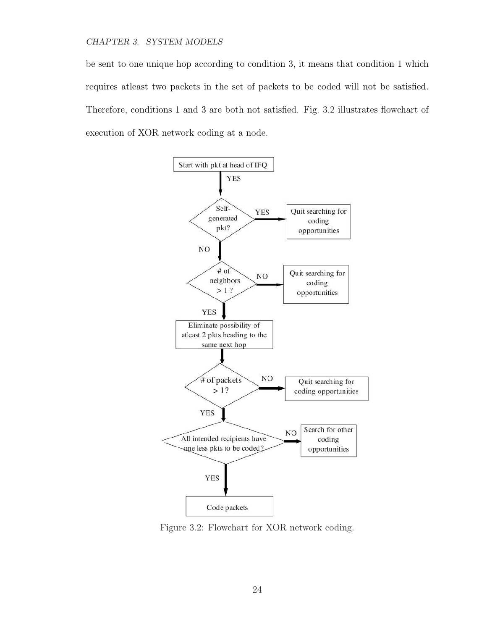#### CHAPTER 3. SYSTEM MODELS

be sent to one unique hop according to condition 3, it means that condition 1 which requires atleast two packets in the set of packets to be coded will not be satisfied. Therefore, conditions 1 and 3 are both not satisfied. Fig. 3.2 illustrates flowchart of execution of XOR network coding at a node.



Figure 3.2: Flowchart for XOR network coding.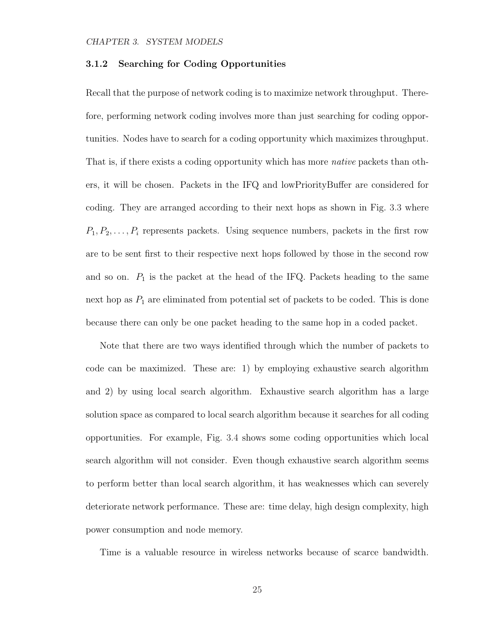### 3.1.2 Searching for Coding Opportunities

Recall that the purpose of network coding is to maximize network throughput. Therefore, performing network coding involves more than just searching for coding opportunities. Nodes have to search for a coding opportunity which maximizes throughput. That is, if there exists a coding opportunity which has more *native* packets than others, it will be chosen. Packets in the IFQ and lowPriorityBuffer are considered for coding. They are arranged according to their next hops as shown in Fig. 3.3 where  $P_1, P_2, \ldots, P_i$  represents packets. Using sequence numbers, packets in the first row are to be sent first to their respective next hops followed by those in the second row and so on.  $P_1$  is the packet at the head of the IFQ. Packets heading to the same next hop as  $P_1$  are eliminated from potential set of packets to be coded. This is done because there can only be one packet heading to the same hop in a coded packet.

Note that there are two ways identified through which the number of packets to code can be maximized. These are: 1) by employing exhaustive search algorithm and 2) by using local search algorithm. Exhaustive search algorithm has a large solution space as compared to local search algorithm because it searches for all coding opportunities. For example, Fig. 3.4 shows some coding opportunities which local search algorithm will not consider. Even though exhaustive search algorithm seems to perform better than local search algorithm, it has weaknesses which can severely deteriorate network performance. These are: time delay, high design complexity, high power consumption and node memory.

Time is a valuable resource in wireless networks because of scarce bandwidth.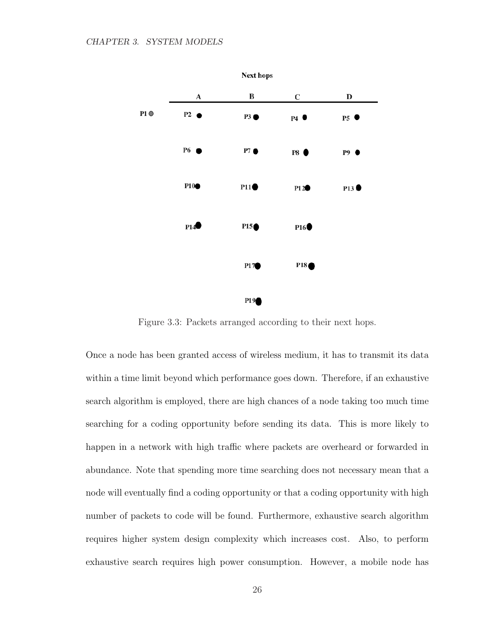

Figure 3.3: Packets arranged according to their next hops.

Once a node has been granted access of wireless medium, it has to transmit its data within a time limit beyond which performance goes down. Therefore, if an exhaustive search algorithm is employed, there are high chances of a node taking too much time searching for a coding opportunity before sending its data. This is more likely to happen in a network with high traffic where packets are overheard or forwarded in abundance. Note that spending more time searching does not necessary mean that a node will eventually find a coding opportunity or that a coding opportunity with high number of packets to code will be found. Furthermore, exhaustive search algorithm requires higher system design complexity which increases cost. Also, to perform exhaustive search requires high power consumption. However, a mobile node has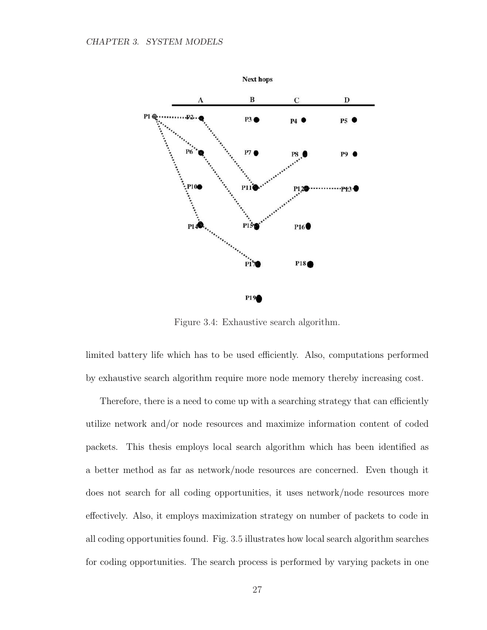

Figure 3.4: Exhaustive search algorithm.

limited battery life which has to be used efficiently. Also, computations performed by exhaustive search algorithm require more node memory thereby increasing cost.

Therefore, there is a need to come up with a searching strategy that can efficiently utilize network and/or node resources and maximize information content of coded packets. This thesis employs local search algorithm which has been identified as a better method as far as network/node resources are concerned. Even though it does not search for all coding opportunities, it uses network/node resources more effectively. Also, it employs maximization strategy on number of packets to code in all coding opportunities found. Fig. 3.5 illustrates how local search algorithm searches for coding opportunities. The search process is performed by varying packets in one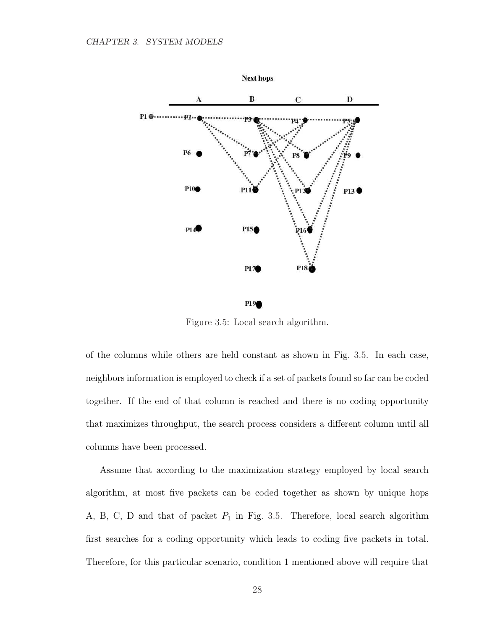

Figure 3.5: Local search algorithm.

of the columns while others are held constant as shown in Fig. 3.5. In each case, neighbors information is employed to check if a set of packets found so far can be coded together. If the end of that column is reached and there is no coding opportunity that maximizes throughput, the search process considers a different column until all columns have been processed.

Assume that according to the maximization strategy employed by local search algorithm, at most five packets can be coded together as shown by unique hops A, B, C, D and that of packet  $P_1$  in Fig. 3.5. Therefore, local search algorithm first searches for a coding opportunity which leads to coding five packets in total. Therefore, for this particular scenario, condition 1 mentioned above will require that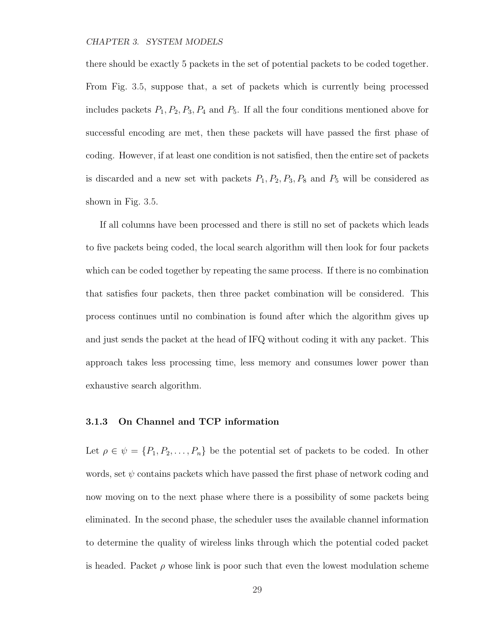there should be exactly 5 packets in the set of potential packets to be coded together. From Fig. 3.5, suppose that, a set of packets which is currently being processed includes packets  $P_1, P_2, P_3, P_4$  and  $P_5$ . If all the four conditions mentioned above for successful encoding are met, then these packets will have passed the first phase of coding. However, if at least one condition is not satisfied, then the entire set of packets is discarded and a new set with packets  $P_1, P_2, P_3, P_8$  and  $P_5$  will be considered as shown in Fig. 3.5.

If all columns have been processed and there is still no set of packets which leads to five packets being coded, the local search algorithm will then look for four packets which can be coded together by repeating the same process. If there is no combination that satisfies four packets, then three packet combination will be considered. This process continues until no combination is found after which the algorithm gives up and just sends the packet at the head of IFQ without coding it with any packet. This approach takes less processing time, less memory and consumes lower power than exhaustive search algorithm.

### 3.1.3 On Channel and TCP information

Let  $\rho \in \psi = \{P_1, P_2, \ldots, P_n\}$  be the potential set of packets to be coded. In other words, set  $\psi$  contains packets which have passed the first phase of network coding and now moving on to the next phase where there is a possibility of some packets being eliminated. In the second phase, the scheduler uses the available channel information to determine the quality of wireless links through which the potential coded packet is headed. Packet  $\rho$  whose link is poor such that even the lowest modulation scheme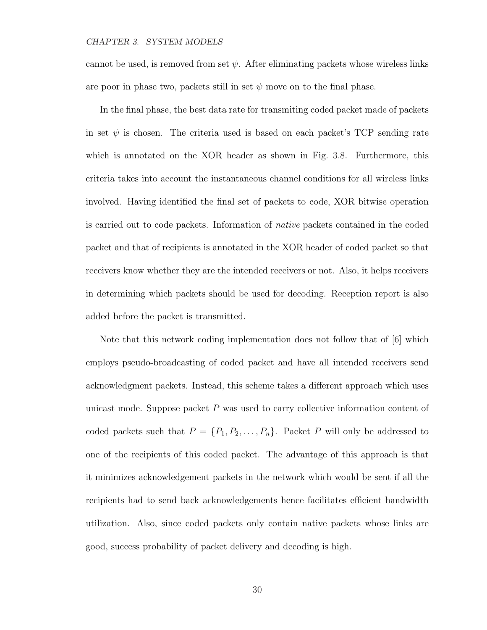cannot be used, is removed from set  $\psi$ . After eliminating packets whose wireless links are poor in phase two, packets still in set  $\psi$  move on to the final phase.

In the final phase, the best data rate for transmiting coded packet made of packets in set  $\psi$  is chosen. The criteria used is based on each packet's TCP sending rate which is annotated on the XOR header as shown in Fig. 3.8. Furthermore, this criteria takes into account the instantaneous channel conditions for all wireless links involved. Having identified the final set of packets to code, XOR bitwise operation is carried out to code packets. Information of native packets contained in the coded packet and that of recipients is annotated in the XOR header of coded packet so that receivers know whether they are the intended receivers or not. Also, it helps receivers in determining which packets should be used for decoding. Reception report is also added before the packet is transmitted.

Note that this network coding implementation does not follow that of [6] which employs pseudo-broadcasting of coded packet and have all intended receivers send acknowledgment packets. Instead, this scheme takes a different approach which uses unicast mode. Suppose packet  $P$  was used to carry collective information content of coded packets such that  $P = \{P_1, P_2, \ldots, P_n\}$ . Packet P will only be addressed to one of the recipients of this coded packet. The advantage of this approach is that it minimizes acknowledgement packets in the network which would be sent if all the recipients had to send back acknowledgements hence facilitates efficient bandwidth utilization. Also, since coded packets only contain native packets whose links are good, success probability of packet delivery and decoding is high.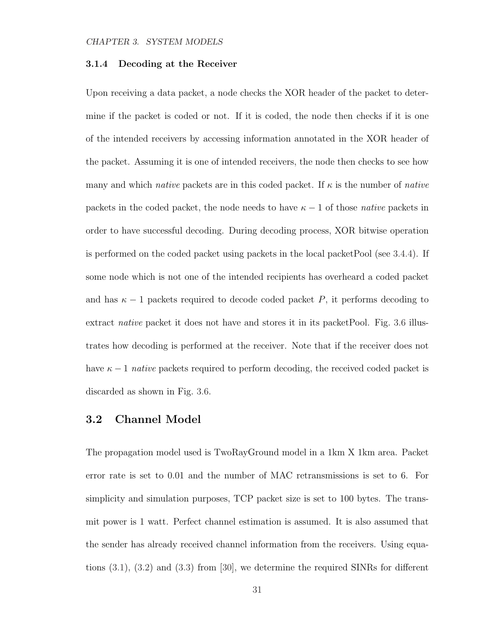#### 3.1.4 Decoding at the Receiver

Upon receiving a data packet, a node checks the XOR header of the packet to determine if the packet is coded or not. If it is coded, the node then checks if it is one of the intended receivers by accessing information annotated in the XOR header of the packet. Assuming it is one of intended receivers, the node then checks to see how many and which *native* packets are in this coded packet. If  $\kappa$  is the number of *native* packets in the coded packet, the node needs to have  $\kappa - 1$  of those native packets in order to have successful decoding. During decoding process, XOR bitwise operation is performed on the coded packet using packets in the local packetPool (see 3.4.4). If some node which is not one of the intended recipients has overheard a coded packet and has  $\kappa - 1$  packets required to decode coded packet P, it performs decoding to extract *native* packet it does not have and stores it in its packet Pool. Fig. 3.6 illustrates how decoding is performed at the receiver. Note that if the receiver does not have  $\kappa - 1$  native packets required to perform decoding, the received coded packet is discarded as shown in Fig. 3.6.

# 3.2 Channel Model

The propagation model used is TwoRayGround model in a 1km X 1km area. Packet error rate is set to 0.01 and the number of MAC retransmissions is set to 6. For simplicity and simulation purposes, TCP packet size is set to 100 bytes. The transmit power is 1 watt. Perfect channel estimation is assumed. It is also assumed that the sender has already received channel information from the receivers. Using equations (3.1), (3.2) and (3.3) from [30], we determine the required SINRs for different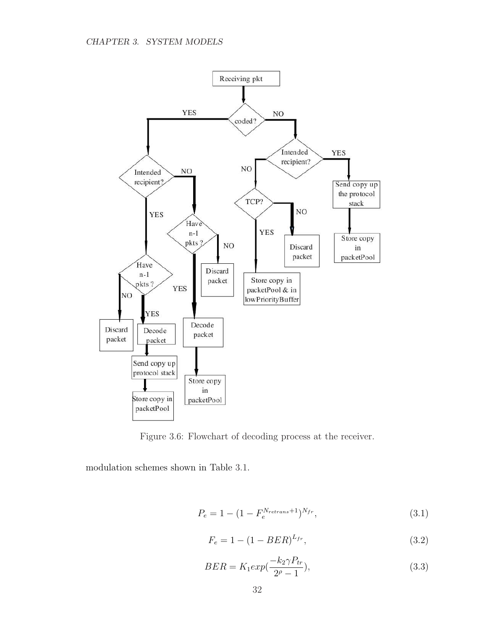

Figure 3.6: Flowchart of decoding process at the receiver.

modulation schemes shown in Table 3.1.

$$
P_e = 1 - (1 - F_e^{N_{retrans}+1})^{N_{fr}}, \t\t(3.1)
$$

$$
F_e = 1 - (1 - BER)^{L_{fr}}, \t\t(3.2)
$$

$$
BER = K_1 \exp(\frac{-k_2 \gamma P_{tr}}{2^{\rho} - 1}),\tag{3.3}
$$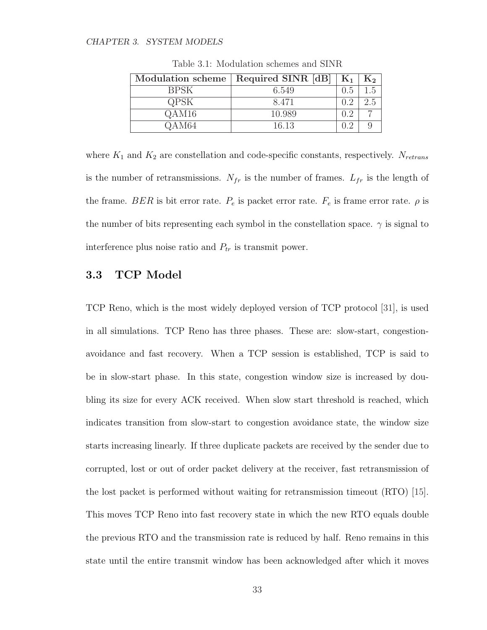| <b>Modulation scheme</b> | Required SINR [dB] | $K_1$ | $\mathrm{K}_2$ |
|--------------------------|--------------------|-------|----------------|
| <b>BPSK</b>              | 6.549              | 0.5   | 1.5            |
| <b>QPSK</b>              | 8.471              | 0.2   | 2.5            |
| QAM16                    | 10.989             | 0.2   |                |
| QAM64                    | 16.13              | በ 2   |                |

Table 3.1: Modulation schemes and SINR

where  $K_1$  and  $K_2$  are constellation and code-specific constants, respectively.  $N_{retrans}$ is the number of retransmissions.  $N_{fr}$  is the number of frames.  $L_{fr}$  is the length of the frame. BER is bit error rate.  $P_e$  is packet error rate.  $F_e$  is frame error rate.  $\rho$  is the number of bits representing each symbol in the constellation space.  $\gamma$  is signal to interference plus noise ratio and  $P_{tr}$  is transmit power.

# 3.3 TCP Model

TCP Reno, which is the most widely deployed version of TCP protocol [31], is used in all simulations. TCP Reno has three phases. These are: slow-start, congestionavoidance and fast recovery. When a TCP session is established, TCP is said to be in slow-start phase. In this state, congestion window size is increased by doubling its size for every ACK received. When slow start threshold is reached, which indicates transition from slow-start to congestion avoidance state, the window size starts increasing linearly. If three duplicate packets are received by the sender due to corrupted, lost or out of order packet delivery at the receiver, fast retransmission of the lost packet is performed without waiting for retransmission timeout (RTO) [15]. This moves TCP Reno into fast recovery state in which the new RTO equals double the previous RTO and the transmission rate is reduced by half. Reno remains in this state until the entire transmit window has been acknowledged after which it moves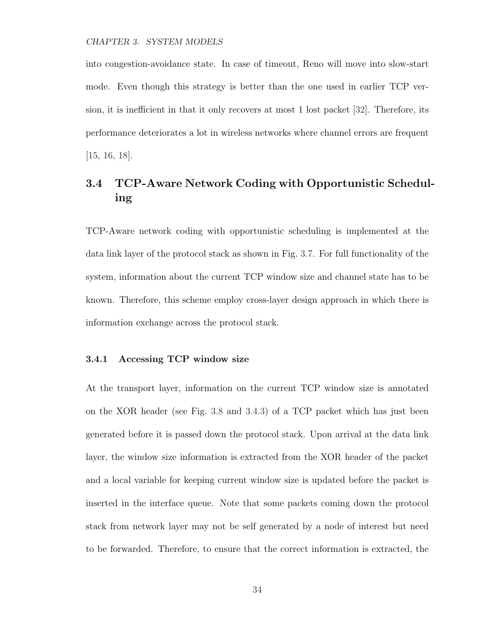into congestion-avoidance state. In case of timeout, Reno will move into slow-start mode. Even though this strategy is better than the one used in earlier TCP version, it is inefficient in that it only recovers at most 1 lost packet [32]. Therefore, its performance deteriorates a lot in wireless networks where channel errors are frequent [15, 16, 18].

# 3.4 TCP-Aware Network Coding with Opportunistic Scheduling

TCP-Aware network coding with opportunistic scheduling is implemented at the data link layer of the protocol stack as shown in Fig. 3.7. For full functionality of the system, information about the current TCP window size and channel state has to be known. Therefore, this scheme employ cross-layer design approach in which there is information exchange across the protocol stack.

### 3.4.1 Accessing TCP window size

At the transport layer, information on the current TCP window size is annotated on the XOR header (see Fig. 3.8 and 3.4.3) of a TCP packet which has just been generated before it is passed down the protocol stack. Upon arrival at the data link layer, the window size information is extracted from the XOR header of the packet and a local variable for keeping current window size is updated before the packet is inserted in the interface queue. Note that some packets coming down the protocol stack from network layer may not be self generated by a node of interest but need to be forwarded. Therefore, to ensure that the correct information is extracted, the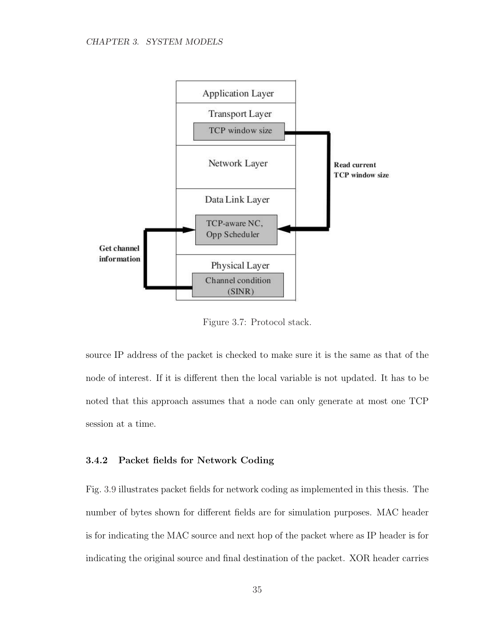

Figure 3.7: Protocol stack.

source IP address of the packet is checked to make sure it is the same as that of the node of interest. If it is different then the local variable is not updated. It has to be noted that this approach assumes that a node can only generate at most one TCP session at a time.

### 3.4.2 Packet fields for Network Coding

Fig. 3.9 illustrates packet fields for network coding as implemented in this thesis. The number of bytes shown for different fields are for simulation purposes. MAC header is for indicating the MAC source and next hop of the packet where as IP header is for indicating the original source and final destination of the packet. XOR header carries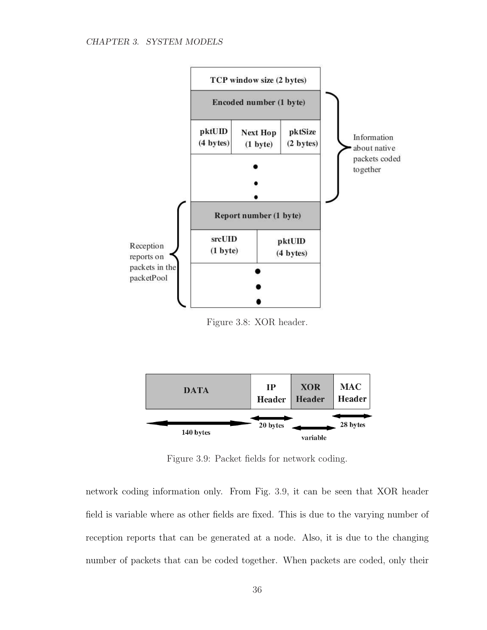

Figure 3.8: XOR header.



Figure 3.9: Packet fields for network coding.

network coding information only. From Fig. 3.9, it can be seen that XOR header field is variable where as other fields are fixed. This is due to the varying number of reception reports that can be generated at a node. Also, it is due to the changing number of packets that can be coded together. When packets are coded, only their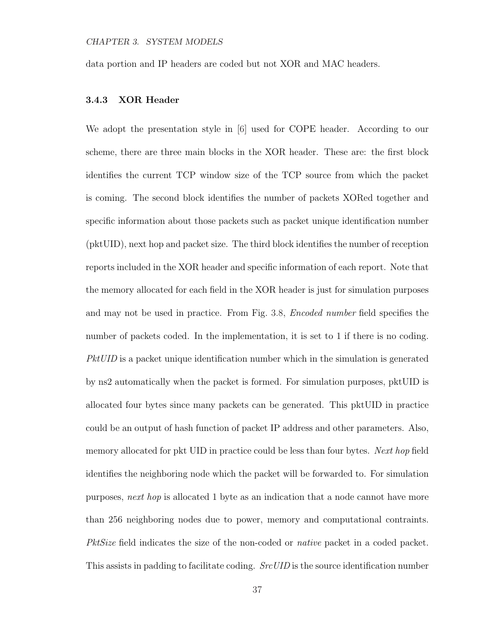data portion and IP headers are coded but not XOR and MAC headers.

## 3.4.3 XOR Header

We adopt the presentation style in [6] used for COPE header. According to our scheme, there are three main blocks in the XOR header. These are: the first block identifies the current TCP window size of the TCP source from which the packet is coming. The second block identifies the number of packets XORed together and specific information about those packets such as packet unique identification number (pktUID), next hop and packet size. The third block identifies the number of reception reports included in the XOR header and specific information of each report. Note that the memory allocated for each field in the XOR header is just for simulation purposes and may not be used in practice. From Fig. 3.8, Encoded number field specifies the number of packets coded. In the implementation, it is set to 1 if there is no coding. PktUID is a packet unique identification number which in the simulation is generated by ns2 automatically when the packet is formed. For simulation purposes, pktUID is allocated four bytes since many packets can be generated. This pktUID in practice could be an output of hash function of packet IP address and other parameters. Also, memory allocated for pkt UID in practice could be less than four bytes. Next hop field identifies the neighboring node which the packet will be forwarded to. For simulation purposes, next hop is allocated 1 byte as an indication that a node cannot have more than 256 neighboring nodes due to power, memory and computational contraints. PktSize field indicates the size of the non-coded or *native* packet in a coded packet. This assists in padding to facilitate coding. *SrcUID* is the source identification number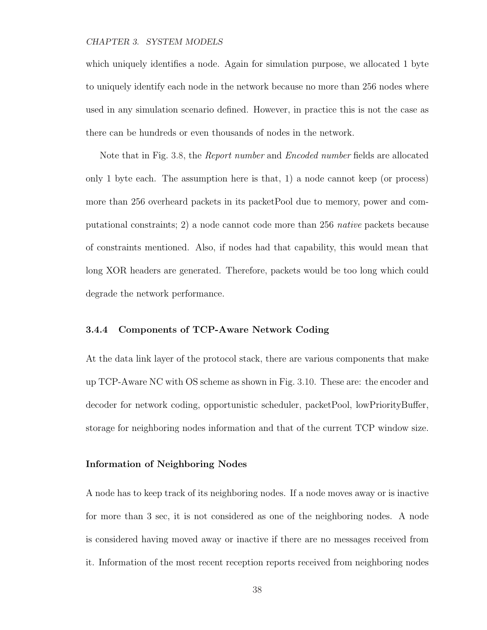#### CHAPTER 3. SYSTEM MODELS

which uniquely identifies a node. Again for simulation purpose, we allocated 1 byte to uniquely identify each node in the network because no more than 256 nodes where used in any simulation scenario defined. However, in practice this is not the case as there can be hundreds or even thousands of nodes in the network.

Note that in Fig. 3.8, the Report number and Encoded number fields are allocated only 1 byte each. The assumption here is that, 1) a node cannot keep (or process) more than 256 overheard packets in its packetPool due to memory, power and computational constraints; 2) a node cannot code more than 256 native packets because of constraints mentioned. Also, if nodes had that capability, this would mean that long XOR headers are generated. Therefore, packets would be too long which could degrade the network performance.

#### 3.4.4 Components of TCP-Aware Network Coding

At the data link layer of the protocol stack, there are various components that make up TCP-Aware NC with OS scheme as shown in Fig. 3.10. These are: the encoder and decoder for network coding, opportunistic scheduler, packetPool, lowPriorityBuffer, storage for neighboring nodes information and that of the current TCP window size.

### Information of Neighboring Nodes

A node has to keep track of its neighboring nodes. If a node moves away or is inactive for more than 3 sec, it is not considered as one of the neighboring nodes. A node is considered having moved away or inactive if there are no messages received from it. Information of the most recent reception reports received from neighboring nodes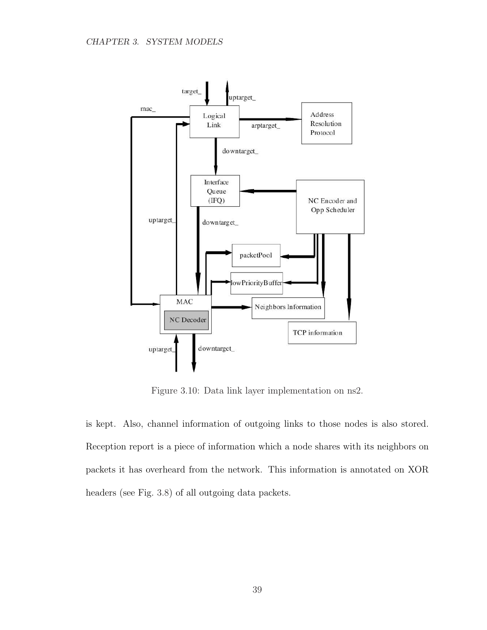

Figure 3.10: Data link layer implementation on ns2.

is kept. Also, channel information of outgoing links to those nodes is also stored. Reception report is a piece of information which a node shares with its neighbors on packets it has overheard from the network. This information is annotated on XOR headers (see Fig. 3.8) of all outgoing data packets.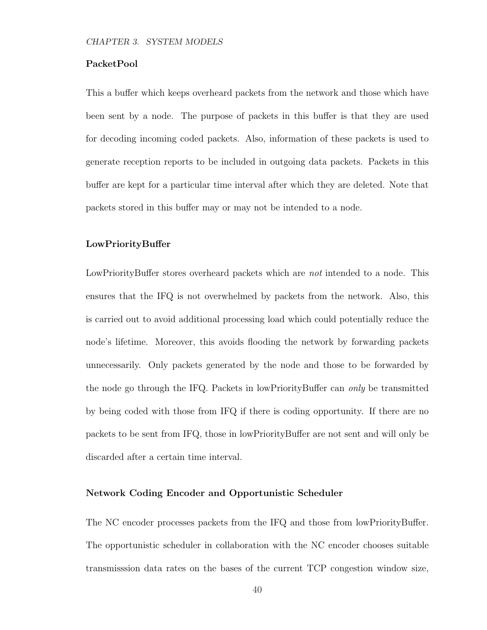### PacketPool

This a buffer which keeps overheard packets from the network and those which have been sent by a node. The purpose of packets in this buffer is that they are used for decoding incoming coded packets. Also, information of these packets is used to generate reception reports to be included in outgoing data packets. Packets in this buffer are kept for a particular time interval after which they are deleted. Note that packets stored in this buffer may or may not be intended to a node.

### LowPriorityBuffer

LowPriorityBuffer stores overheard packets which are *not* intended to a node. This ensures that the IFQ is not overwhelmed by packets from the network. Also, this is carried out to avoid additional processing load which could potentially reduce the node's lifetime. Moreover, this avoids flooding the network by forwarding packets unnecessarily. Only packets generated by the node and those to be forwarded by the node go through the IFQ. Packets in lowPriorityBuffer can only be transmitted by being coded with those from IFQ if there is coding opportunity. If there are no packets to be sent from IFQ, those in lowPriorityBuffer are not sent and will only be discarded after a certain time interval.

### Network Coding Encoder and Opportunistic Scheduler

The NC encoder processes packets from the IFQ and those from lowPriorityBuffer. The opportunistic scheduler in collaboration with the NC encoder chooses suitable transmisssion data rates on the bases of the current TCP congestion window size,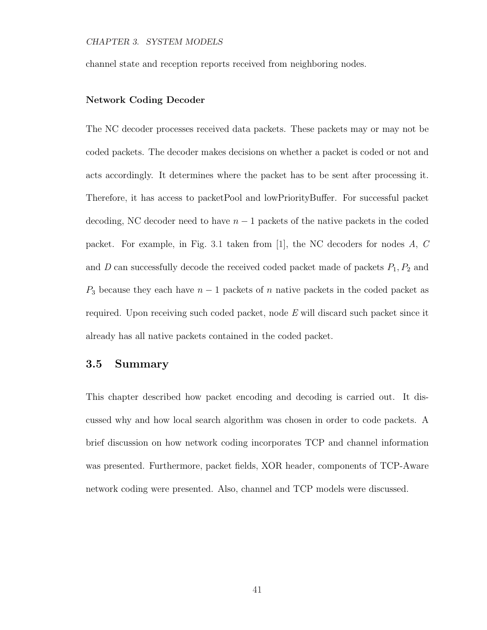channel state and reception reports received from neighboring nodes.

### Network Coding Decoder

The NC decoder processes received data packets. These packets may or may not be coded packets. The decoder makes decisions on whether a packet is coded or not and acts accordingly. It determines where the packet has to be sent after processing it. Therefore, it has access to packetPool and lowPriorityBuffer. For successful packet decoding, NC decoder need to have  $n-1$  packets of the native packets in the coded packet. For example, in Fig. 3.1 taken from [1], the NC decoders for nodes A, C and  $D$  can successfully decode the received coded packet made of packets  $P_1, P_2$  and  $P_3$  because they each have  $n-1$  packets of n native packets in the coded packet as required. Upon receiving such coded packet, node E will discard such packet since it already has all native packets contained in the coded packet.

### 3.5 Summary

This chapter described how packet encoding and decoding is carried out. It discussed why and how local search algorithm was chosen in order to code packets. A brief discussion on how network coding incorporates TCP and channel information was presented. Furthermore, packet fields, XOR header, components of TCP-Aware network coding were presented. Also, channel and TCP models were discussed.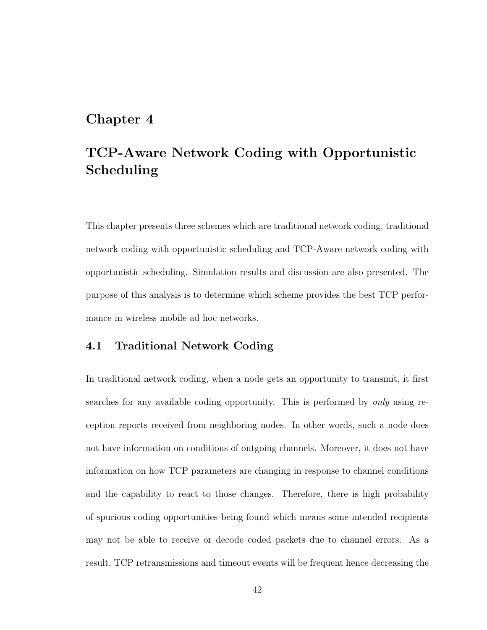# Chapter 4

# TCP-Aware Network Coding with Opportunistic Scheduling

This chapter presents three schemes which are traditional network coding, traditional network coding with opportunistic scheduling and TCP-Aware network coding with opportunistic scheduling. Simulation results and discussion are also presented. The purpose of this analysis is to determine which scheme provides the best TCP performance in wireless mobile ad hoc networks.

# 4.1 Traditional Network Coding

In traditional network coding, when a node gets an opportunity to transmit, it first searches for any available coding opportunity. This is performed by *only* using reception reports received from neighboring nodes. In other words, such a node does not have information on conditions of outgoing channels. Moreover, it does not have information on how TCP parameters are changing in response to channel conditions and the capability to react to those changes. Therefore, there is high probability of spurious coding opportunities being found which means some intended recipients may not be able to receive or decode coded packets due to channel errors. As a result, TCP retransmissions and timeout events will be frequent hence decreasing the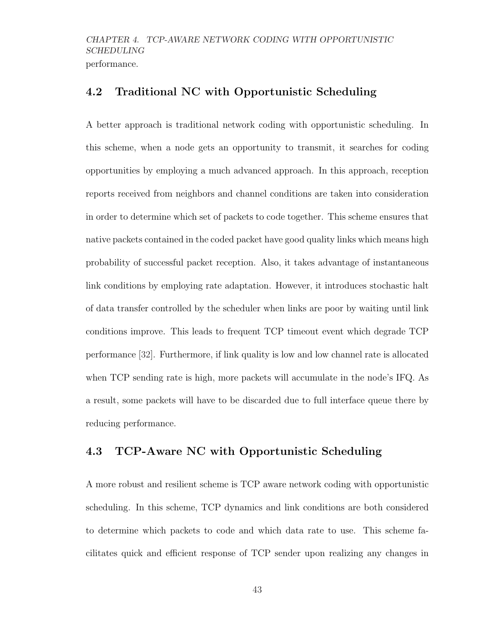# 4.2 Traditional NC with Opportunistic Scheduling

A better approach is traditional network coding with opportunistic scheduling. In this scheme, when a node gets an opportunity to transmit, it searches for coding opportunities by employing a much advanced approach. In this approach, reception reports received from neighbors and channel conditions are taken into consideration in order to determine which set of packets to code together. This scheme ensures that native packets contained in the coded packet have good quality links which means high probability of successful packet reception. Also, it takes advantage of instantaneous link conditions by employing rate adaptation. However, it introduces stochastic halt of data transfer controlled by the scheduler when links are poor by waiting until link conditions improve. This leads to frequent TCP timeout event which degrade TCP performance [32]. Furthermore, if link quality is low and low channel rate is allocated when TCP sending rate is high, more packets will accumulate in the node's IFQ. As a result, some packets will have to be discarded due to full interface queue there by reducing performance.

# 4.3 TCP-Aware NC with Opportunistic Scheduling

A more robust and resilient scheme is TCP aware network coding with opportunistic scheduling. In this scheme, TCP dynamics and link conditions are both considered to determine which packets to code and which data rate to use. This scheme facilitates quick and efficient response of TCP sender upon realizing any changes in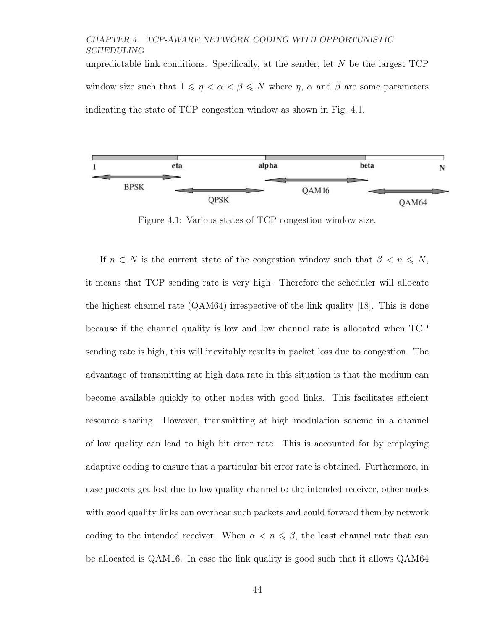unpredictable link conditions. Specifically, at the sender, let  $N$  be the largest  $TCP$ window size such that  $1 \leq \eta < \alpha < \beta \leq N$  where  $\eta$ ,  $\alpha$  and  $\beta$  are some parameters indicating the state of TCP congestion window as shown in Fig. 4.1.



Figure 4.1: Various states of TCP congestion window size.

If  $n \in N$  is the current state of the congestion window such that  $\beta < n \leq N$ , it means that TCP sending rate is very high. Therefore the scheduler will allocate the highest channel rate (QAM64) irrespective of the link quality [18]. This is done because if the channel quality is low and low channel rate is allocated when TCP sending rate is high, this will inevitably results in packet loss due to congestion. The advantage of transmitting at high data rate in this situation is that the medium can become available quickly to other nodes with good links. This facilitates efficient resource sharing. However, transmitting at high modulation scheme in a channel of low quality can lead to high bit error rate. This is accounted for by employing adaptive coding to ensure that a particular bit error rate is obtained. Furthermore, in case packets get lost due to low quality channel to the intended receiver, other nodes with good quality links can overhear such packets and could forward them by network coding to the intended receiver. When  $\alpha < n \leq \beta$ , the least channel rate that can be allocated is QAM16. In case the link quality is good such that it allows QAM64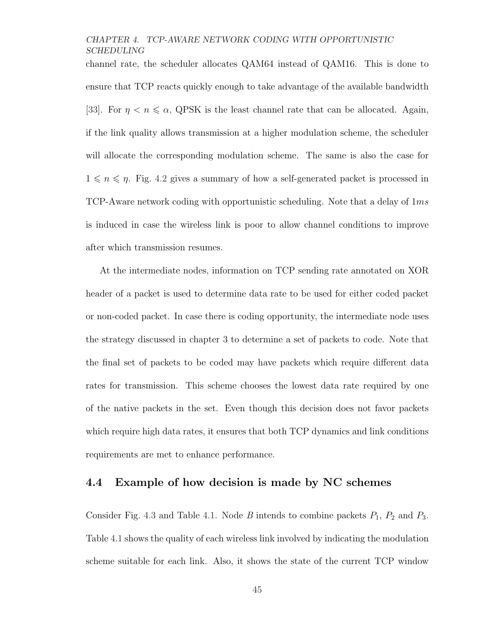channel rate, the scheduler allocates QAM64 instead of QAM16. This is done to ensure that TCP reacts quickly enough to take advantage of the available bandwidth [33]. For  $\eta < \eta \leq \alpha$ , QPSK is the least channel rate that can be allocated. Again, if the link quality allows transmission at a higher modulation scheme, the scheduler will allocate the corresponding modulation scheme. The same is also the case for  $1 \leq n \leq \eta$ . Fig. 4.2 gives a summary of how a self-generated packet is processed in TCP-Aware network coding with opportunistic scheduling. Note that a delay of  $1ms$ is induced in case the wireless link is poor to allow channel conditions to improve after which transmission resumes.

At the intermediate nodes, information on TCP sending rate annotated on XOR header of a packet is used to determine data rate to be used for either coded packet or non-coded packet. In case there is coding opportunity, the intermediate node uses the strategy discussed in chapter 3 to determine a set of packets to code. Note that the final set of packets to be coded may have packets which require different data rates for transmission. This scheme chooses the lowest data rate required by one of the native packets in the set. Even though this decision does not favor packets which require high data rates, it ensures that both TCP dynamics and link conditions requirements are met to enhance performance.

# 4.4 Example of how decision is made by NC schemes

Consider Fig. 4.3 and Table 4.1. Node B intends to combine packets  $P_1$ ,  $P_2$  and  $P_3$ . Table 4.1 shows the quality of each wireless link involved by indicating the modulation scheme suitable for each link. Also, it shows the state of the current TCP window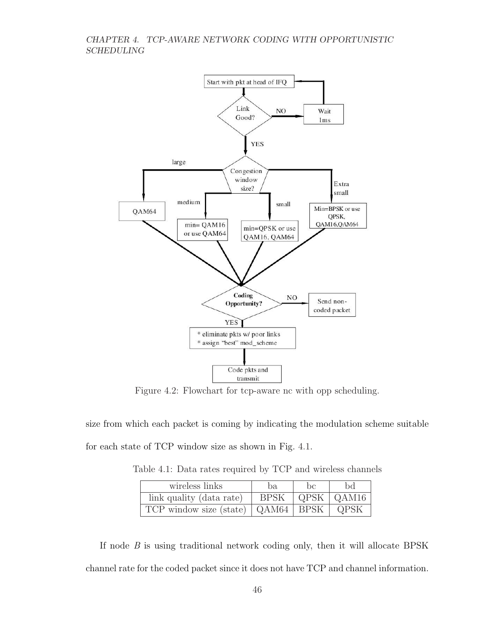

Figure 4.2: Flowchart for tcp-aware nc with opp scheduling.

size from which each packet is coming by indicating the modulation scheme suitable for each state of TCP window size as shown in Fig. 4.1.

Table 4.1: Data rates required by TCP and wireless channels

| wireless links                         | ba.         | he | Ьd                         |
|----------------------------------------|-------------|----|----------------------------|
| link quality (data rate)               | <b>BPSK</b> |    | $\vert$ QPSK $\vert$ QAM16 |
| TCP window size (state)   QAM64   BPSK |             |    | QPSK                       |

If node  $B$  is using traditional network coding only, then it will allocate BPSK channel rate for the coded packet since it does not have TCP and channel information.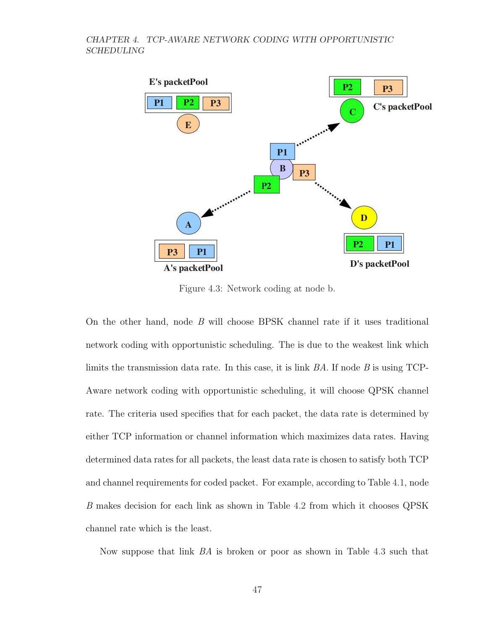

Figure 4.3: Network coding at node b.

On the other hand, node B will choose BPSK channel rate if it uses traditional network coding with opportunistic scheduling. The is due to the weakest link which limits the transmission data rate. In this case, it is link  $BA$ . If node  $B$  is using TCP-Aware network coding with opportunistic scheduling, it will choose QPSK channel rate. The criteria used specifies that for each packet, the data rate is determined by either TCP information or channel information which maximizes data rates. Having determined data rates for all packets, the least data rate is chosen to satisfy both TCP and channel requirements for coded packet. For example, according to Table 4.1, node B makes decision for each link as shown in Table 4.2 from which it chooses QPSK channel rate which is the least.

Now suppose that link BA is broken or poor as shown in Table 4.3 such that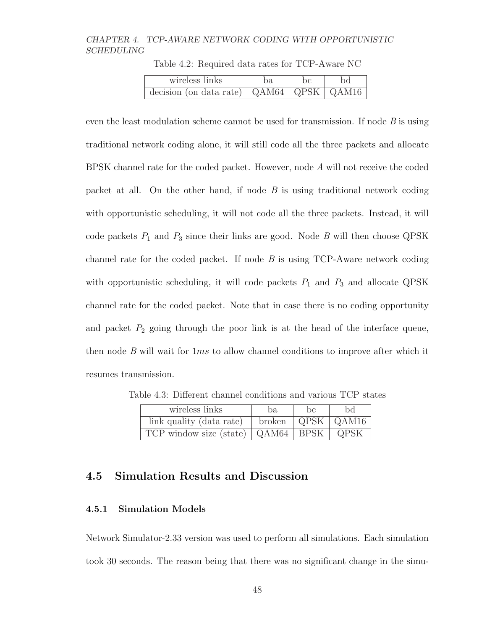| wireless links                                                   | ba. | bc | bd |
|------------------------------------------------------------------|-----|----|----|
| decision (on data rate) $\vert$ QAM64 $\vert$ QPSK $\vert$ QAM16 |     |    |    |

Table 4.2: Required data rates for TCP-Aware NC

even the least modulation scheme cannot be used for transmission. If node  $B$  is using traditional network coding alone, it will still code all the three packets and allocate BPSK channel rate for the coded packet. However, node A will not receive the coded packet at all. On the other hand, if node  $B$  is using traditional network coding with opportunistic scheduling, it will not code all the three packets. Instead, it will code packets  $P_1$  and  $P_3$  since their links are good. Node B will then choose QPSK channel rate for the coded packet. If node  $B$  is using TCP-Aware network coding with opportunistic scheduling, it will code packets  $P_1$  and  $P_3$  and allocate QPSK channel rate for the coded packet. Note that in case there is no coding opportunity and packet  $P_2$  going through the poor link is at the head of the interface queue, then node  $B$  will wait for  $1ms$  to allow channel conditions to improve after which it resumes transmission.

Table 4.3: Different channel conditions and various TCP states

| wireless links                                | ba.                               | he | Ьd |
|-----------------------------------------------|-----------------------------------|----|----|
| link quality (data rate)                      | broken $\vert$ QPSK $\vert$ QAM16 |    |    |
| TCP window size (state)   QAM64   BPSK   QPSK |                                   |    |    |

# 4.5 Simulation Results and Discussion

### 4.5.1 Simulation Models

Network Simulator-2.33 version was used to perform all simulations. Each simulation took 30 seconds. The reason being that there was no significant change in the simu-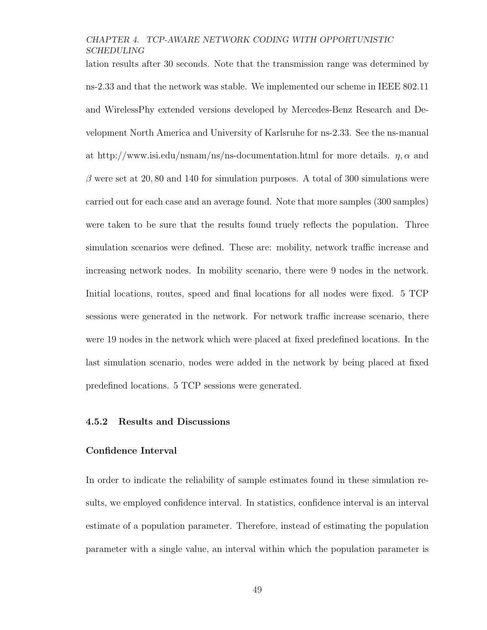lation results after 30 seconds. Note that the transmission range was determined by ns-2.33 and that the network was stable. We implemented our scheme in IEEE 802.11 and WirelessPhy extended versions developed by Mercedes-Benz Research and Development North America and University of Karlsruhe for ns-2.33. See the ns-manual at http://www.isi.edu/nsnam/ns/ns-documentation.html for more details.  $\eta$ ,  $\alpha$  and  $\beta$  were set at 20,80 and 140 for simulation purposes. A total of 300 simulations were carried out for each case and an average found. Note that more samples (300 samples) were taken to be sure that the results found truely reflects the population. Three simulation scenarios were defined. These are: mobility, network traffic increase and increasing network nodes. In mobility scenario, there were 9 nodes in the network. Initial locations, routes, speed and final locations for all nodes were fixed. 5 TCP sessions were generated in the network. For network traffic increase scenario, there were 19 nodes in the network which were placed at fixed predefined locations. In the last simulation scenario, nodes were added in the network by being placed at fixed predefined locations. 5 TCP sessions were generated.

### 4.5.2 Results and Discussions

### Confidence Interval

In order to indicate the reliability of sample estimates found in these simulation results, we employed confidence interval. In statistics, confidence interval is an interval estimate of a population parameter. Therefore, instead of estimating the population parameter with a single value, an interval within which the population parameter is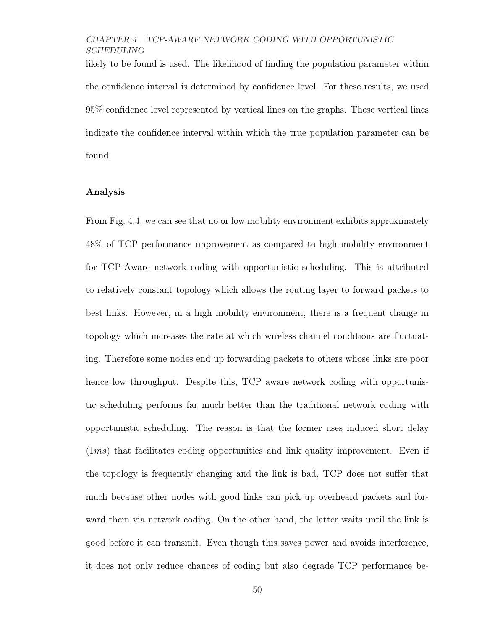likely to be found is used. The likelihood of finding the population parameter within the confidence interval is determined by confidence level. For these results, we used 95% confidence level represented by vertical lines on the graphs. These vertical lines indicate the confidence interval within which the true population parameter can be found.

### Analysis

From Fig. 4.4, we can see that no or low mobility environment exhibits approximately 48% of TCP performance improvement as compared to high mobility environment for TCP-Aware network coding with opportunistic scheduling. This is attributed to relatively constant topology which allows the routing layer to forward packets to best links. However, in a high mobility environment, there is a frequent change in topology which increases the rate at which wireless channel conditions are fluctuating. Therefore some nodes end up forwarding packets to others whose links are poor hence low throughput. Despite this, TCP aware network coding with opportunistic scheduling performs far much better than the traditional network coding with opportunistic scheduling. The reason is that the former uses induced short delay (1ms) that facilitates coding opportunities and link quality improvement. Even if the topology is frequently changing and the link is bad, TCP does not suffer that much because other nodes with good links can pick up overheard packets and forward them via network coding. On the other hand, the latter waits until the link is good before it can transmit. Even though this saves power and avoids interference, it does not only reduce chances of coding but also degrade TCP performance be-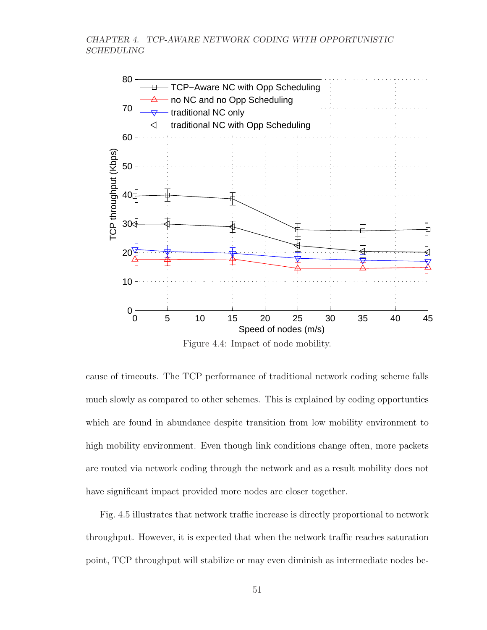

Figure 4.4: Impact of node mobility.

cause of timeouts. The TCP performance of traditional network coding scheme falls much slowly as compared to other schemes. This is explained by coding opportunties which are found in abundance despite transition from low mobility environment to high mobility environment. Even though link conditions change often, more packets are routed via network coding through the network and as a result mobility does not have significant impact provided more nodes are closer together.

Fig. 4.5 illustrates that network traffic increase is directly proportional to network throughput. However, it is expected that when the network traffic reaches saturation point, TCP throughput will stabilize or may even diminish as intermediate nodes be-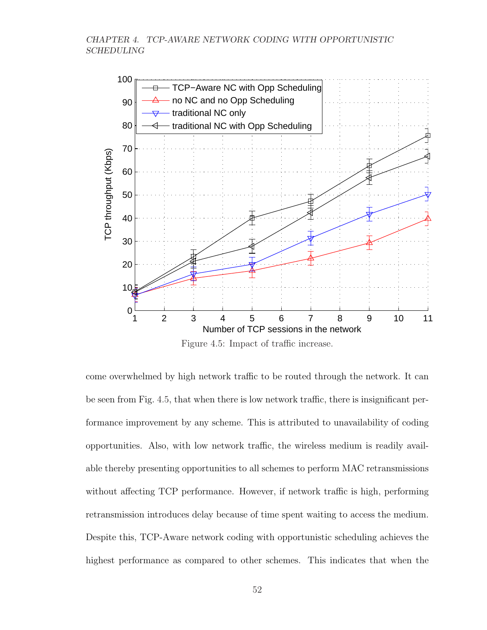

Figure 4.5: Impact of traffic increase.

come overwhelmed by high network traffic to be routed through the network. It can be seen from Fig. 4.5, that when there is low network traffic, there is insignificant performance improvement by any scheme. This is attributed to unavailability of coding opportunities. Also, with low network traffic, the wireless medium is readily available thereby presenting opportunities to all schemes to perform MAC retransmissions without affecting TCP performance. However, if network traffic is high, performing retransmission introduces delay because of time spent waiting to access the medium. Despite this, TCP-Aware network coding with opportunistic scheduling achieves the highest performance as compared to other schemes. This indicates that when the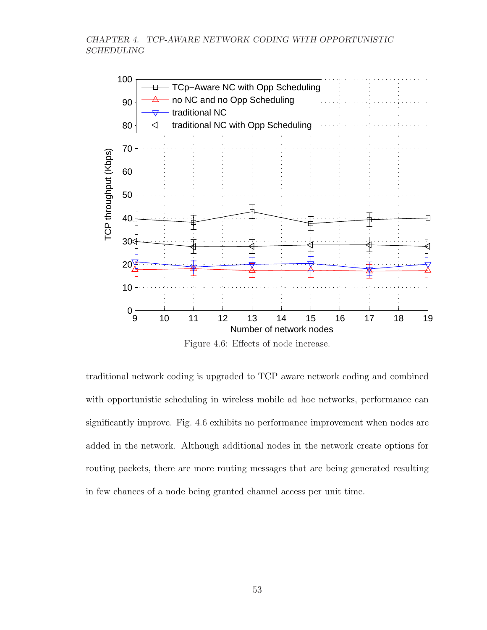

Figure 4.6: Effects of node increase.

traditional network coding is upgraded to TCP aware network coding and combined with opportunistic scheduling in wireless mobile ad hoc networks, performance can significantly improve. Fig. 4.6 exhibits no performance improvement when nodes are added in the network. Although additional nodes in the network create options for routing packets, there are more routing messages that are being generated resulting in few chances of a node being granted channel access per unit time.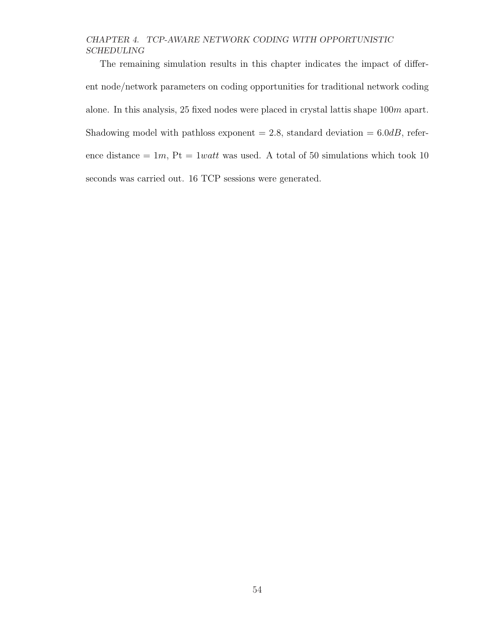The remaining simulation results in this chapter indicates the impact of different node/network parameters on coding opportunities for traditional network coding alone. In this analysis, 25 fixed nodes were placed in crystal lattis shape 100m apart. Shadowing model with pathloss exponent  $= 2.8$ , standard deviation  $= 6.0$ dB, reference distance  $= 1m$ ,  $Pt = 1watt$  was used. A total of 50 simulations which took 10 seconds was carried out. 16 TCP sessions were generated.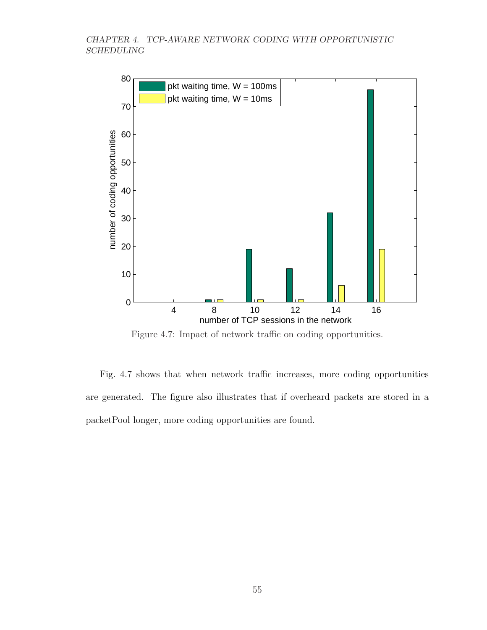

Figure 4.7: Impact of network traffic on coding opportunities.

Fig. 4.7 shows that when network traffic increases, more coding opportunities are generated. The figure also illustrates that if overheard packets are stored in a packetPool longer, more coding opportunities are found.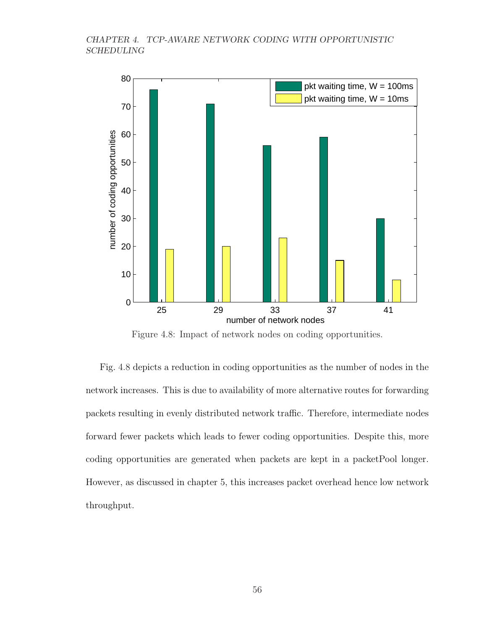

Figure 4.8: Impact of network nodes on coding opportunities.

Fig. 4.8 depicts a reduction in coding opportunities as the number of nodes in the network increases. This is due to availability of more alternative routes for forwarding packets resulting in evenly distributed network traffic. Therefore, intermediate nodes forward fewer packets which leads to fewer coding opportunities. Despite this, more coding opportunities are generated when packets are kept in a packetPool longer. However, as discussed in chapter 5, this increases packet overhead hence low network throughput.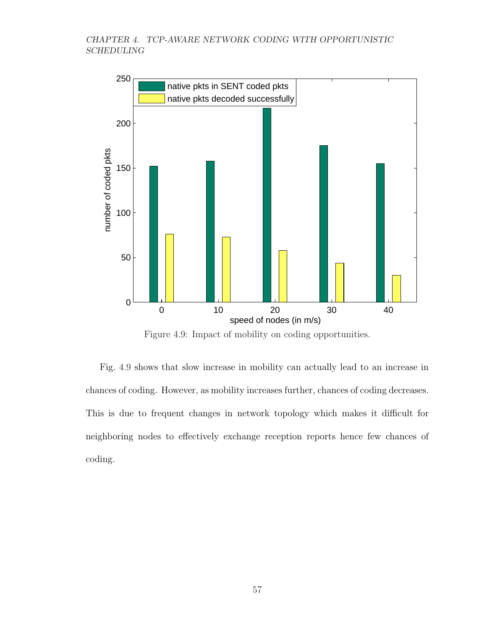

Figure 4.9: Impact of mobility on coding opportunities.

Fig. 4.9 shows that slow increase in mobility can actually lead to an increase in chances of coding. However, as mobility increases further, chances of coding decreases. This is due to frequent changes in network topology which makes it difficult for neighboring nodes to effectively exchange reception reports hence few chances of coding.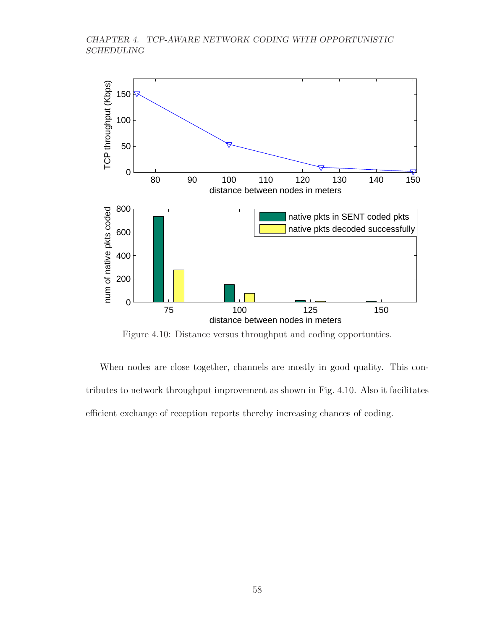

Figure 4.10: Distance versus throughput and coding opportunties.

When nodes are close together, channels are mostly in good quality. This contributes to network throughput improvement as shown in Fig. 4.10. Also it facilitates efficient exchange of reception reports thereby increasing chances of coding.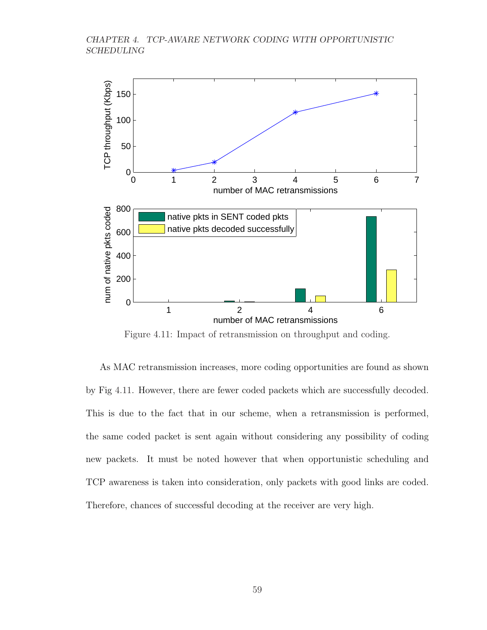

Figure 4.11: Impact of retransmission on throughput and coding.

As MAC retransmission increases, more coding opportunities are found as shown by Fig 4.11. However, there are fewer coded packets which are successfully decoded. This is due to the fact that in our scheme, when a retransmission is performed, the same coded packet is sent again without considering any possibility of coding new packets. It must be noted however that when opportunistic scheduling and TCP awareness is taken into consideration, only packets with good links are coded. Therefore, chances of successful decoding at the receiver are very high.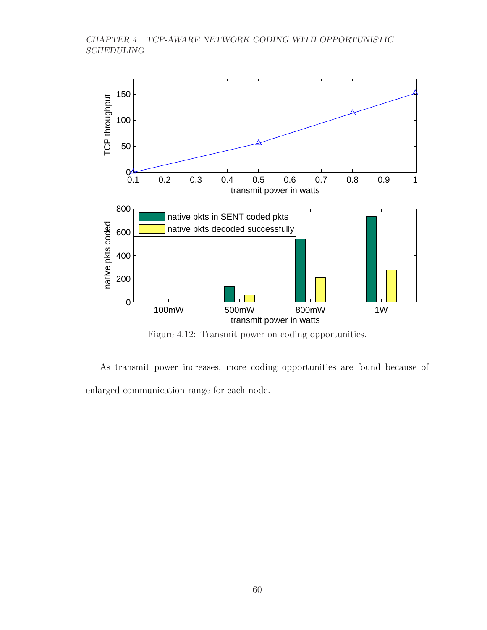## CHAPTER 4. TCP-AWARE NETWORK CODING WITH OPPORTUNISTIC SCHEDULING



Figure 4.12: Transmit power on coding opportunities.

As transmit power increases, more coding opportunities are found because of enlarged communication range for each node.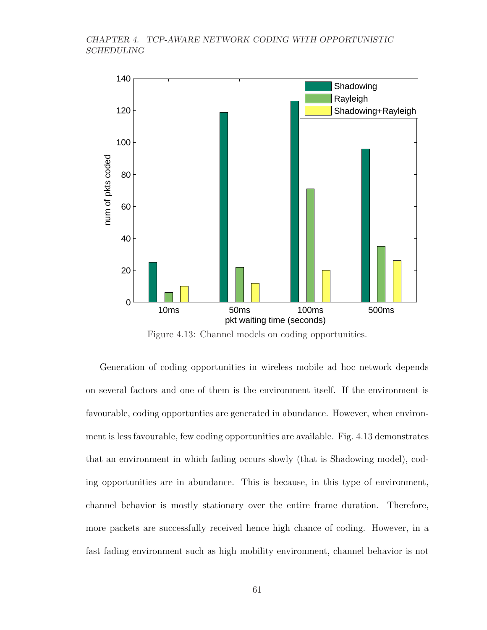## CHAPTER 4. TCP-AWARE NETWORK CODING WITH OPPORTUNISTIC SCHEDULING



Figure 4.13: Channel models on coding opportunities.

Generation of coding opportunities in wireless mobile ad hoc network depends on several factors and one of them is the environment itself. If the environment is favourable, coding opportunties are generated in abundance. However, when environment is less favourable, few coding opportunities are available. Fig. 4.13 demonstrates that an environment in which fading occurs slowly (that is Shadowing model), coding opportunities are in abundance. This is because, in this type of environment, channel behavior is mostly stationary over the entire frame duration. Therefore, more packets are successfully received hence high chance of coding. However, in a fast fading environment such as high mobility environment, channel behavior is not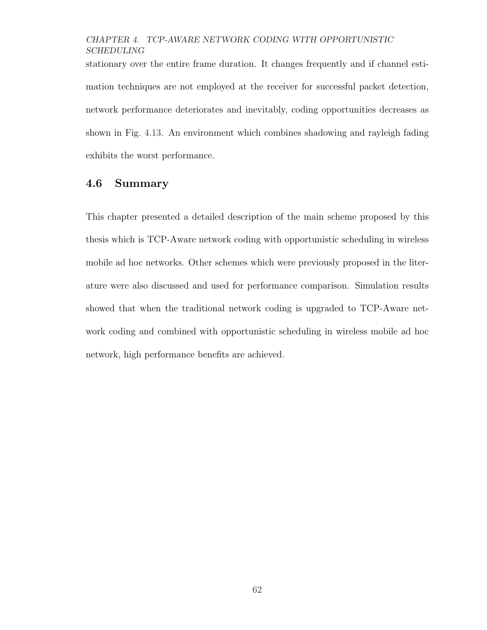## CHAPTER 4. TCP-AWARE NETWORK CODING WITH OPPORTUNISTIC SCHEDULING

stationary over the entire frame duration. It changes frequently and if channel estimation techniques are not employed at the receiver for successful packet detection, network performance deteriorates and inevitably, coding opportunities decreases as shown in Fig. 4.13. An environment which combines shadowing and rayleigh fading exhibits the worst performance.

## 4.6 Summary

This chapter presented a detailed description of the main scheme proposed by this thesis which is TCP-Aware network coding with opportunistic scheduling in wireless mobile ad hoc networks. Other schemes which were previously proposed in the literature were also discussed and used for performance comparison. Simulation results showed that when the traditional network coding is upgraded to TCP-Aware network coding and combined with opportunistic scheduling in wireless mobile ad hoc network, high performance benefits are achieved.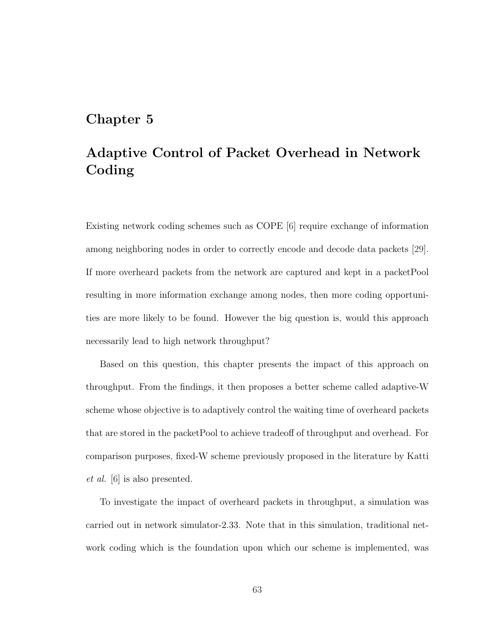## Chapter 5

# Adaptive Control of Packet Overhead in Network Coding

Existing network coding schemes such as COPE [6] require exchange of information among neighboring nodes in order to correctly encode and decode data packets [29]. If more overheard packets from the network are captured and kept in a packetPool resulting in more information exchange among nodes, then more coding opportunities are more likely to be found. However the big question is, would this approach necessarily lead to high network throughput?

Based on this question, this chapter presents the impact of this approach on throughput. From the findings, it then proposes a better scheme called adaptive-W scheme whose objective is to adaptively control the waiting time of overheard packets that are stored in the packetPool to achieve tradeoff of throughput and overhead. For comparison purposes, fixed-W scheme previously proposed in the literature by Katti et al. [6] is also presented.

To investigate the impact of overheard packets in throughput, a simulation was carried out in network simulator-2.33. Note that in this simulation, traditional network coding which is the foundation upon which our scheme is implemented, was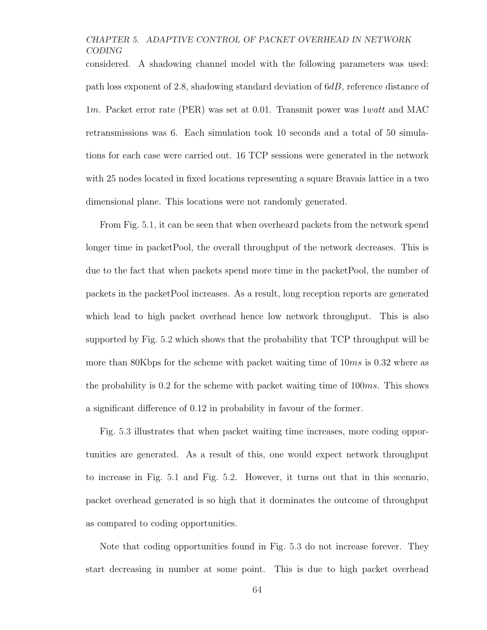considered. A shadowing channel model with the following parameters was used: path loss exponent of 2.8, shadowing standard deviation of 6dB, reference distance of 1m. Packet error rate (PER) was set at 0.01. Transmit power was 1watt and MAC retransmissions was 6. Each simulation took 10 seconds and a total of 50 simulations for each case were carried out. 16 TCP sessions were generated in the network with 25 nodes located in fixed locations representing a square Bravais lattice in a two dimensional plane. This locations were not randomly generated.

From Fig. 5.1, it can be seen that when overheard packets from the network spend longer time in packetPool, the overall throughput of the network decreases. This is due to the fact that when packets spend more time in the packetPool, the number of packets in the packetPool increases. As a result, long reception reports are generated which lead to high packet overhead hence low network throughput. This is also supported by Fig. 5.2 which shows that the probability that TCP throughput will be more than 80Kbps for the scheme with packet waiting time of  $10ms$  is 0.32 where as the probability is 0.2 for the scheme with packet waiting time of  $100ms$ . This shows a significant difference of 0.12 in probability in favour of the former.

Fig. 5.3 illustrates that when packet waiting time increases, more coding opportunities are generated. As a result of this, one would expect network throughput to increase in Fig. 5.1 and Fig. 5.2. However, it turns out that in this scenario, packet overhead generated is so high that it dorminates the outcome of throughput as compared to coding opportunities.

Note that coding opportunities found in Fig. 5.3 do not increase forever. They start decreasing in number at some point. This is due to high packet overhead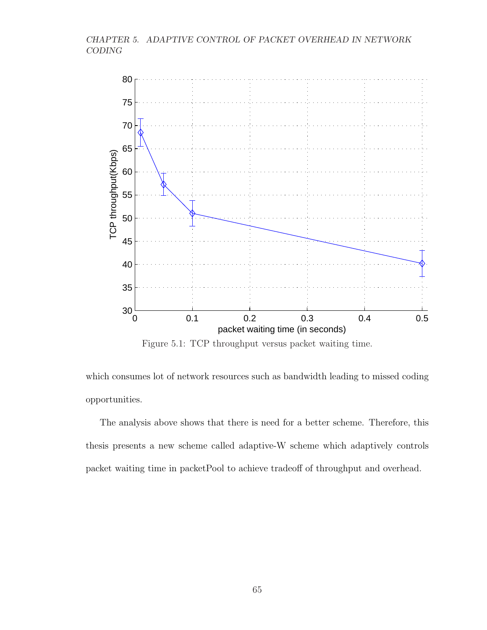

Figure 5.1: TCP throughput versus packet waiting time.

which consumes lot of network resources such as bandwidth leading to missed coding opportunities.

The analysis above shows that there is need for a better scheme. Therefore, this thesis presents a new scheme called adaptive-W scheme which adaptively controls packet waiting time in packetPool to achieve tradeoff of throughput and overhead.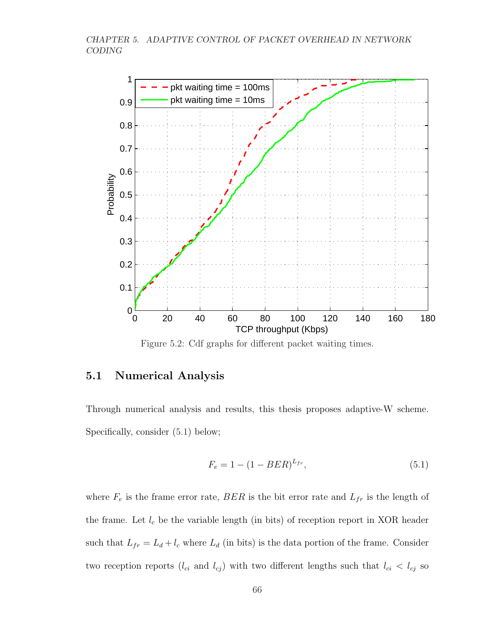

Figure 5.2: Cdf graphs for different packet waiting times.

## 5.1 Numerical Analysis

Through numerical analysis and results, this thesis proposes adaptive-W scheme. Specifically, consider (5.1) below;

$$
F_e = 1 - (1 - BER)^{L_{fr}},\tag{5.1}
$$

where  $F_e$  is the frame error rate,  $BER$  is the bit error rate and  $L_{fr}$  is the length of the frame. Let  $l_c$  be the variable length (in bits) of reception report in XOR header such that  $L_{fr} = L_d + l_c$  where  $L_d$  (in bits) is the data portion of the frame. Consider two reception reports  $(l_{ci}$  and  $l_{cj})$  with two different lengths such that  $l_{ci} < l_{cj}$  so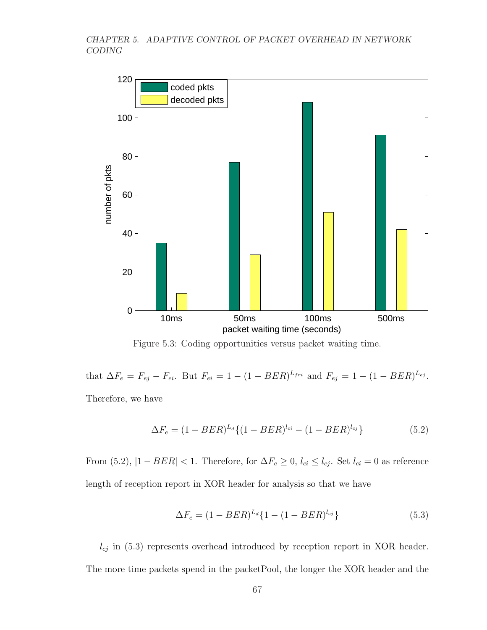

Figure 5.3: Coding opportunities versus packet waiting time.

that  $\Delta F_e = F_{ej} - F_{ei}$ . But  $F_{ei} = 1 - (1 - BER)^{L_{fri}}$  and  $F_{ej} = 1 - (1 - BER)^{L_{ej}}$ . Therefore, we have

$$
\Delta F_e = (1 - BER)^{L_d} \{ (1 - BER)^{l_{ci}} - (1 - BER)^{l_{cj}} \}
$$
\n(5.2)

From (5.2),  $|1 - BER| < 1$ . Therefore, for  $\Delta F_e \ge 0$ ,  $l_{ci} \le l_{cj}$ . Set  $l_{ci} = 0$  as reference length of reception report in XOR header for analysis so that we have

$$
\Delta F_e = (1 - BER)^{L_d} \{ 1 - (1 - BER)^{l_{cj}} \}
$$
\n(5.3)

 $l_{cj}$  in (5.3) represents overhead introduced by reception report in XOR header. The more time packets spend in the packetPool, the longer the XOR header and the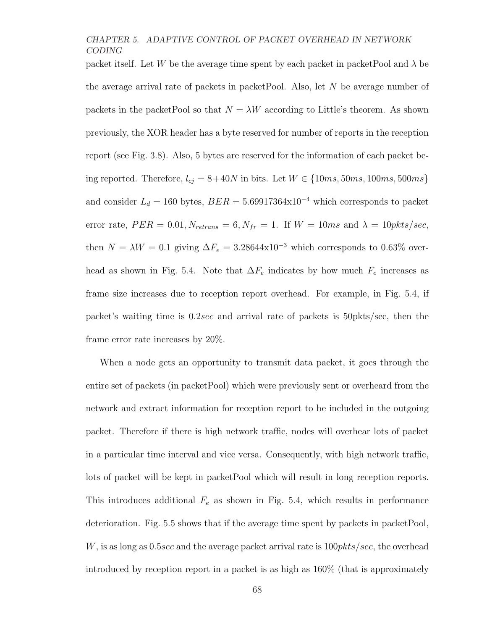packet itself. Let W be the average time spent by each packet in packetPool and  $\lambda$  be the average arrival rate of packets in packetPool. Also, let  $N$  be average number of packets in the packetPool so that  $N = \lambda W$  according to Little's theorem. As shown previously, the XOR header has a byte reserved for number of reports in the reception report (see Fig. 3.8). Also, 5 bytes are reserved for the information of each packet being reported. Therefore,  $l_{ci} = 8+40N$  in bits. Let  $W \in \{10ms, 50ms, 100ms, 500ms\}$ and consider  $L_d = 160$  bytes,  $BER = 5.69917364 \times 10^{-4}$  which corresponds to packet error rate,  $PER = 0.01, N_{retrans} = 6, N_{fr} = 1$ . If  $W = 10ms$  and  $\lambda = 10pkts/sec$ , then  $N = \lambda W = 0.1$  giving  $\Delta F_e = 3.28644 \times 10^{-3}$  which corresponds to 0.63% overhead as shown in Fig. 5.4. Note that  $\Delta F_e$  indicates by how much  $F_e$  increases as frame size increases due to reception report overhead. For example, in Fig. 5.4, if packet's waiting time is 0.2sec and arrival rate of packets is 50pkts/sec, then the frame error rate increases by 20%.

When a node gets an opportunity to transmit data packet, it goes through the entire set of packets (in packetPool) which were previously sent or overheard from the network and extract information for reception report to be included in the outgoing packet. Therefore if there is high network traffic, nodes will overhear lots of packet in a particular time interval and vice versa. Consequently, with high network traffic, lots of packet will be kept in packetPool which will result in long reception reports. This introduces additional  $F_e$  as shown in Fig. 5.4, which results in performance deterioration. Fig. 5.5 shows that if the average time spent by packets in packetPool, W, is as long as  $0.5$ sec and the average packet arrival rate is  $100$ *pkts/sec*, the overhead introduced by reception report in a packet is as high as 160% (that is approximately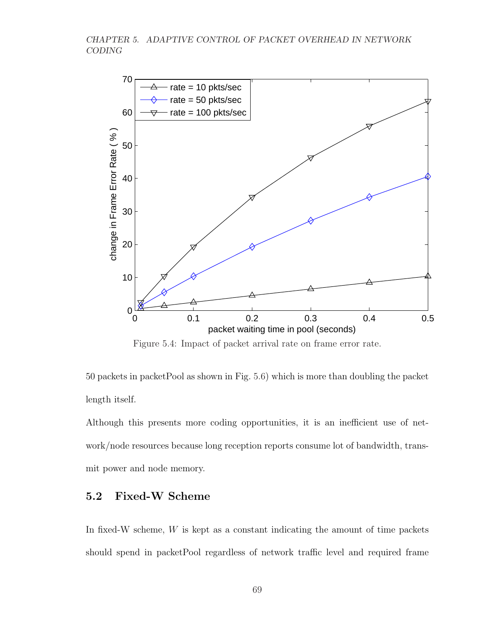

Figure 5.4: Impact of packet arrival rate on frame error rate.

50 packets in packetPool as shown in Fig. 5.6) which is more than doubling the packet length itself.

Although this presents more coding opportunities, it is an inefficient use of network/node resources because long reception reports consume lot of bandwidth, transmit power and node memory.

## 5.2 Fixed-W Scheme

In fixed-W scheme,  $W$  is kept as a constant indicating the amount of time packets should spend in packetPool regardless of network traffic level and required frame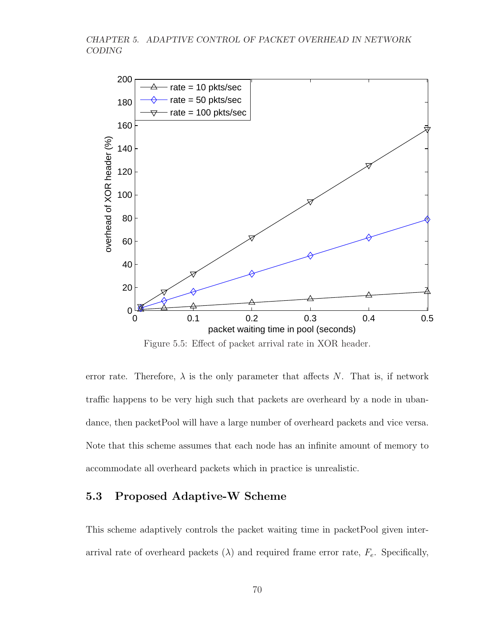

Figure 5.5: Effect of packet arrival rate in XOR header.

error rate. Therefore,  $\lambda$  is the only parameter that affects N. That is, if network traffic happens to be very high such that packets are overheard by a node in ubandance, then packetPool will have a large number of overheard packets and vice versa. Note that this scheme assumes that each node has an infinite amount of memory to accommodate all overheard packets which in practice is unrealistic.

## 5.3 Proposed Adaptive-W Scheme

This scheme adaptively controls the packet waiting time in packetPool given interarrival rate of overheard packets  $(\lambda)$  and required frame error rate,  $F_e$ . Specifically,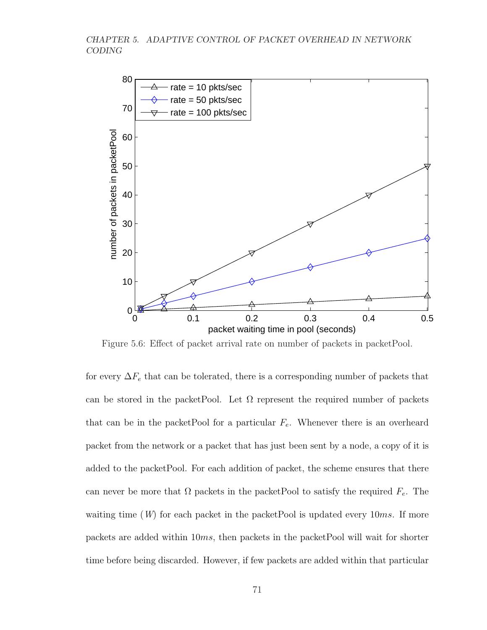

Figure 5.6: Effect of packet arrival rate on number of packets in packetPool.

for every  $\Delta F_e$  that can be tolerated, there is a corresponding number of packets that can be stored in the packetPool. Let  $\Omega$  represent the required number of packets that can be in the packetPool for a particular  $F_e$ . Whenever there is an overheard packet from the network or a packet that has just been sent by a node, a copy of it is added to the packetPool. For each addition of packet, the scheme ensures that there can never be more that  $\Omega$  packets in the packetPool to satisfy the required  $F_e$ . The waiting time  $(W)$  for each packet in the packetPool is updated every 10ms. If more packets are added within 10ms, then packets in the packetPool will wait for shorter time before being discarded. However, if few packets are added within that particular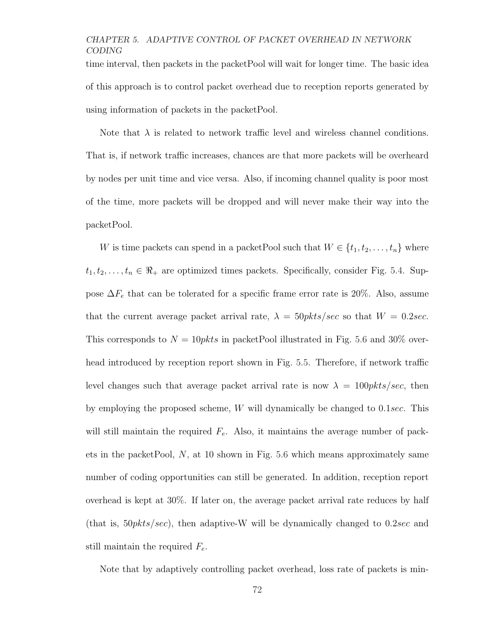time interval, then packets in the packetPool will wait for longer time. The basic idea of this approach is to control packet overhead due to reception reports generated by using information of packets in the packetPool.

Note that  $\lambda$  is related to network traffic level and wireless channel conditions. That is, if network traffic increases, chances are that more packets will be overheard by nodes per unit time and vice versa. Also, if incoming channel quality is poor most of the time, more packets will be dropped and will never make their way into the packetPool.

W is time packets can spend in a packetPool such that  $W \in \{t_1, t_2, \ldots, t_n\}$  where  $t_1, t_2, \ldots, t_n \in \Re_+$  are optimized times packets. Specifically, consider Fig. 5.4. Suppose  $\Delta F_e$  that can be tolerated for a specific frame error rate is 20%. Also, assume that the current average packet arrival rate,  $\lambda = 50$ *pkts/sec* so that  $W = 0.2$ *sec.* This corresponds to  $N = 10$ *pkts* in packetPool illustrated in Fig. 5.6 and 30% overhead introduced by reception report shown in Fig. 5.5. Therefore, if network traffic level changes such that average packet arrival rate is now  $\lambda = 100 \text{p} kts/sec$ , then by employing the proposed scheme, W will dynamically be changed to 0.1sec. This will still maintain the required  $F_e$ . Also, it maintains the average number of packets in the packetPool,  $N$ , at 10 shown in Fig. 5.6 which means approximately same number of coding opportunities can still be generated. In addition, reception report overhead is kept at 30%. If later on, the average packet arrival rate reduces by half (that is,  $50pkts/sec$ ), then adaptive-W will be dynamically changed to 0.2sec and still maintain the required  $F_e$ .

Note that by adaptively controlling packet overhead, loss rate of packets is min-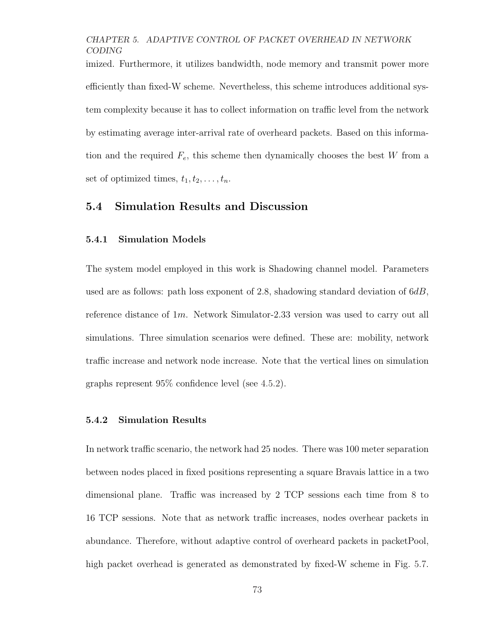imized. Furthermore, it utilizes bandwidth, node memory and transmit power more efficiently than fixed-W scheme. Nevertheless, this scheme introduces additional system complexity because it has to collect information on traffic level from the network by estimating average inter-arrival rate of overheard packets. Based on this information and the required  $F_e$ , this scheme then dynamically chooses the best W from a set of optimized times,  $t_1, t_2, \ldots, t_n$ .

## 5.4 Simulation Results and Discussion

#### 5.4.1 Simulation Models

The system model employed in this work is Shadowing channel model. Parameters used are as follows: path loss exponent of 2.8, shadowing standard deviation of  $6dB$ , reference distance of 1m. Network Simulator-2.33 version was used to carry out all simulations. Three simulation scenarios were defined. These are: mobility, network traffic increase and network node increase. Note that the vertical lines on simulation graphs represent 95% confidence level (see 4.5.2).

#### 5.4.2 Simulation Results

In network traffic scenario, the network had 25 nodes. There was 100 meter separation between nodes placed in fixed positions representing a square Bravais lattice in a two dimensional plane. Traffic was increased by 2 TCP sessions each time from 8 to 16 TCP sessions. Note that as network traffic increases, nodes overhear packets in abundance. Therefore, without adaptive control of overheard packets in packetPool, high packet overhead is generated as demonstrated by fixed-W scheme in Fig. 5.7.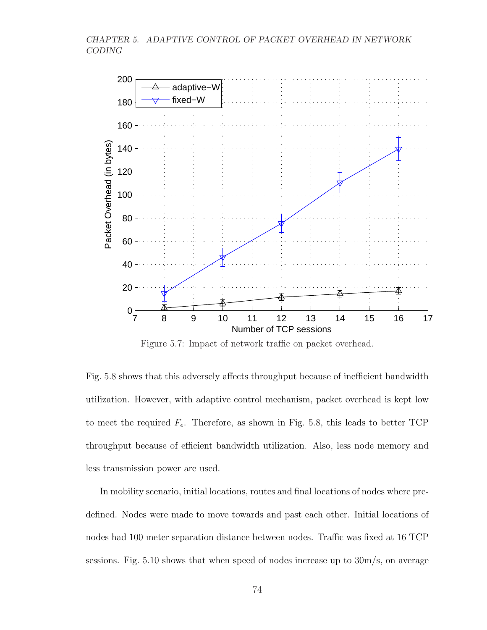

Figure 5.7: Impact of network traffic on packet overhead.

Fig. 5.8 shows that this adversely affects throughput because of inefficient bandwidth utilization. However, with adaptive control mechanism, packet overhead is kept low to meet the required  $F_e$ . Therefore, as shown in Fig. 5.8, this leads to better TCP throughput because of efficient bandwidth utilization. Also, less node memory and less transmission power are used.

In mobility scenario, initial locations, routes and final locations of nodes where predefined. Nodes were made to move towards and past each other. Initial locations of nodes had 100 meter separation distance between nodes. Traffic was fixed at 16 TCP sessions. Fig. 5.10 shows that when speed of nodes increase up to 30m/s, on average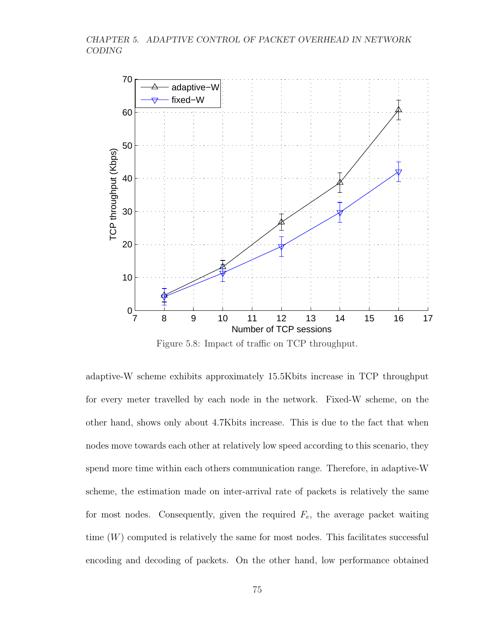

Figure 5.8: Impact of traffic on TCP throughput.

adaptive-W scheme exhibits approximately 15.5Kbits increase in TCP throughput for every meter travelled by each node in the network. Fixed-W scheme, on the other hand, shows only about 4.7Kbits increase. This is due to the fact that when nodes move towards each other at relatively low speed according to this scenario, they spend more time within each others communication range. Therefore, in adaptive-W scheme, the estimation made on inter-arrival rate of packets is relatively the same for most nodes. Consequently, given the required  $F_e$ , the average packet waiting time  $(W)$  computed is relatively the same for most nodes. This facilitates successful encoding and decoding of packets. On the other hand, low performance obtained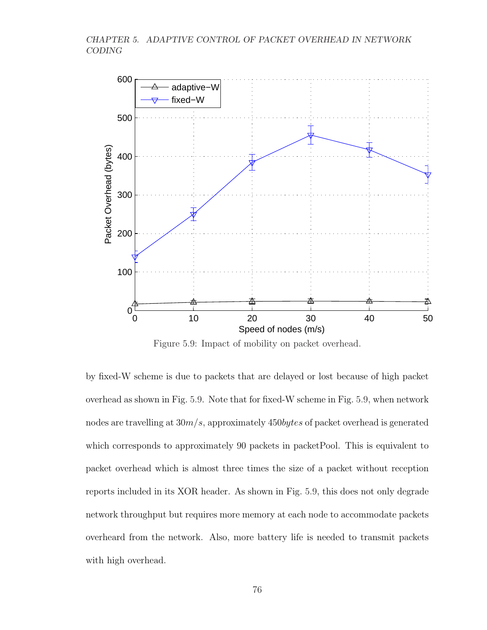

Figure 5.9: Impact of mobility on packet overhead.

by fixed-W scheme is due to packets that are delayed or lost because of high packet overhead as shown in Fig. 5.9. Note that for fixed-W scheme in Fig. 5.9, when network nodes are travelling at  $30m/s$ , approximately  $450 bytes$  of packet overhead is generated which corresponds to approximately 90 packets in packetPool. This is equivalent to packet overhead which is almost three times the size of a packet without reception reports included in its XOR header. As shown in Fig. 5.9, this does not only degrade network throughput but requires more memory at each node to accommodate packets overheard from the network. Also, more battery life is needed to transmit packets with high overhead.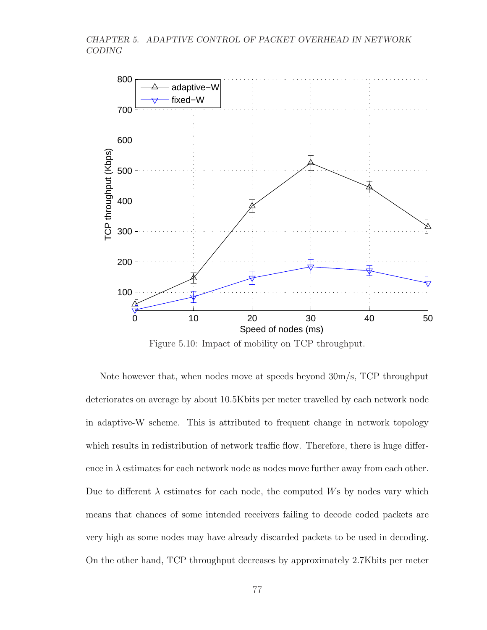

Figure 5.10: Impact of mobility on TCP throughput.

Note however that, when nodes move at speeds beyond 30m/s, TCP throughput deteriorates on average by about 10.5Kbits per meter travelled by each network node in adaptive-W scheme. This is attributed to frequent change in network topology which results in redistribution of network traffic flow. Therefore, there is huge difference in  $\lambda$  estimates for each network node as nodes move further away from each other. Due to different  $\lambda$  estimates for each node, the computed Ws by nodes vary which means that chances of some intended receivers failing to decode coded packets are very high as some nodes may have already discarded packets to be used in decoding. On the other hand, TCP throughput decreases by approximately 2.7Kbits per meter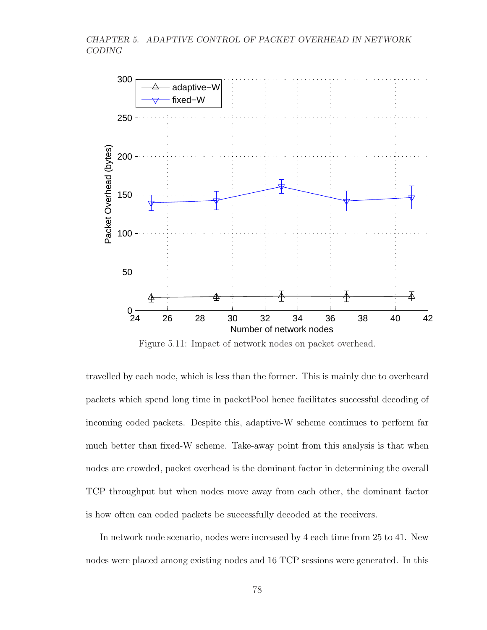

Figure 5.11: Impact of network nodes on packet overhead.

travelled by each node, which is less than the former. This is mainly due to overheard packets which spend long time in packetPool hence facilitates successful decoding of incoming coded packets. Despite this, adaptive-W scheme continues to perform far much better than fixed-W scheme. Take-away point from this analysis is that when nodes are crowded, packet overhead is the dominant factor in determining the overall TCP throughput but when nodes move away from each other, the dominant factor is how often can coded packets be successfully decoded at the receivers.

In network node scenario, nodes were increased by 4 each time from 25 to 41. New nodes were placed among existing nodes and 16 TCP sessions were generated. In this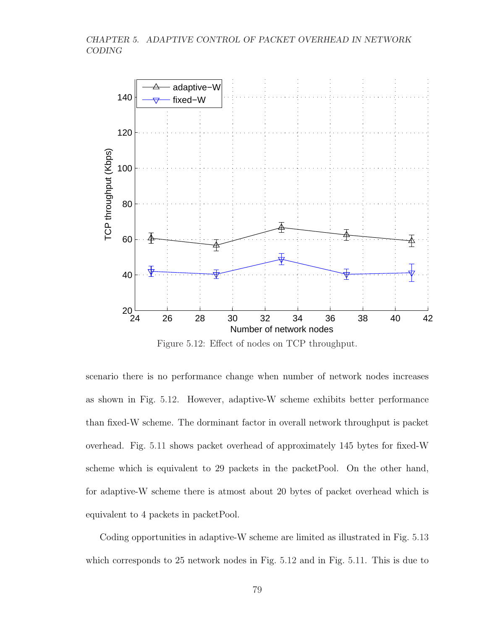

Figure 5.12: Effect of nodes on TCP throughput.

scenario there is no performance change when number of network nodes increases as shown in Fig. 5.12. However, adaptive-W scheme exhibits better performance than fixed-W scheme. The dorminant factor in overall network throughput is packet overhead. Fig. 5.11 shows packet overhead of approximately 145 bytes for fixed-W scheme which is equivalent to 29 packets in the packetPool. On the other hand, for adaptive-W scheme there is atmost about 20 bytes of packet overhead which is equivalent to 4 packets in packetPool.

Coding opportunities in adaptive-W scheme are limited as illustrated in Fig. 5.13 which corresponds to 25 network nodes in Fig. 5.12 and in Fig. 5.11. This is due to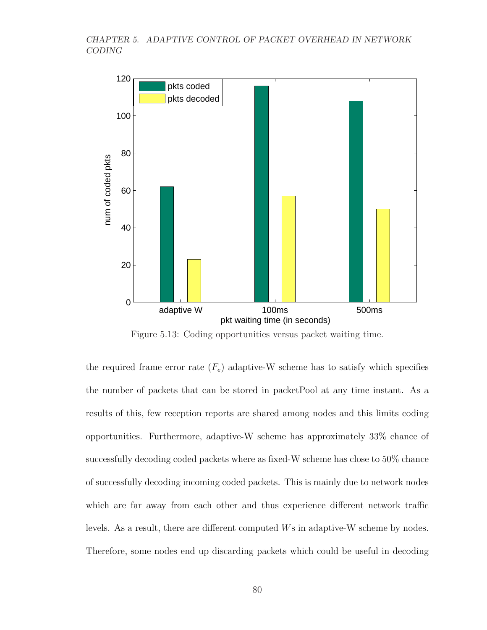

Figure 5.13: Coding opportunities versus packet waiting time.

the required frame error rate  $(F_e)$  adaptive-W scheme has to satisfy which specifies the number of packets that can be stored in packetPool at any time instant. As a results of this, few reception reports are shared among nodes and this limits coding opportunities. Furthermore, adaptive-W scheme has approximately 33% chance of successfully decoding coded packets where as fixed-W scheme has close to 50% chance of successfully decoding incoming coded packets. This is mainly due to network nodes which are far away from each other and thus experience different network traffic levels. As a result, there are different computed Ws in adaptive-W scheme by nodes. Therefore, some nodes end up discarding packets which could be useful in decoding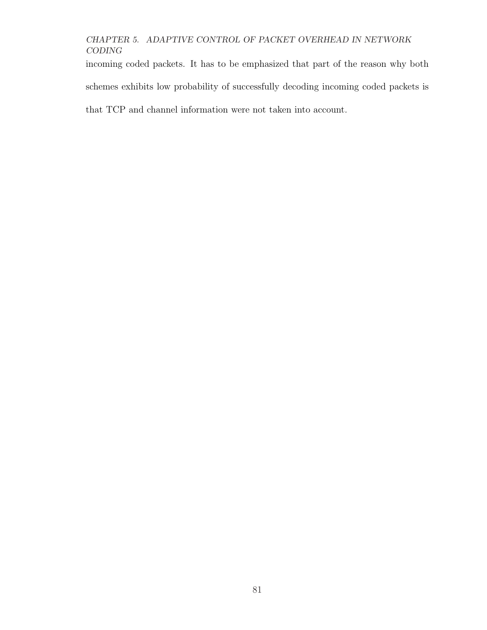incoming coded packets. It has to be emphasized that part of the reason why both schemes exhibits low probability of successfully decoding incoming coded packets is that TCP and channel information were not taken into account.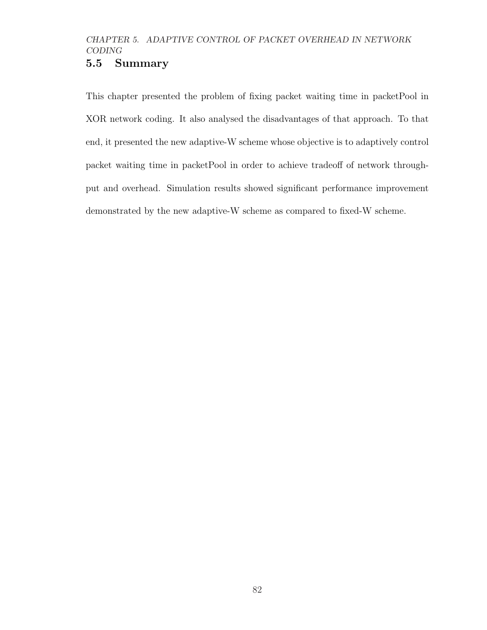## 5.5 Summary

This chapter presented the problem of fixing packet waiting time in packetPool in XOR network coding. It also analysed the disadvantages of that approach. To that end, it presented the new adaptive-W scheme whose objective is to adaptively control packet waiting time in packetPool in order to achieve tradeoff of network throughput and overhead. Simulation results showed significant performance improvement demonstrated by the new adaptive-W scheme as compared to fixed-W scheme.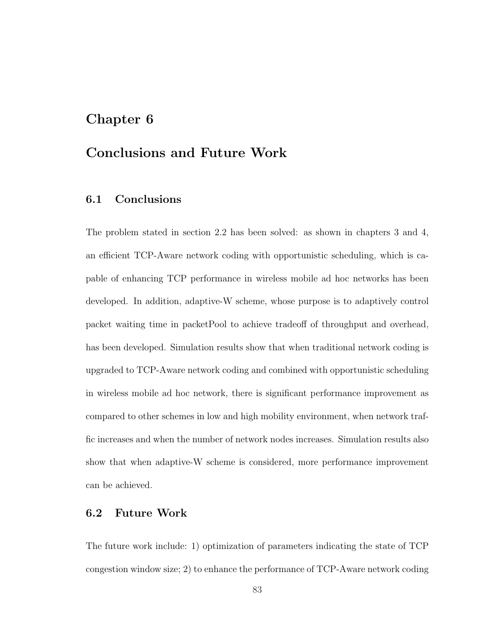## Chapter 6

## Conclusions and Future Work

## 6.1 Conclusions

The problem stated in section 2.2 has been solved: as shown in chapters 3 and 4, an efficient TCP-Aware network coding with opportunistic scheduling, which is capable of enhancing TCP performance in wireless mobile ad hoc networks has been developed. In addition, adaptive-W scheme, whose purpose is to adaptively control packet waiting time in packetPool to achieve tradeoff of throughput and overhead, has been developed. Simulation results show that when traditional network coding is upgraded to TCP-Aware network coding and combined with opportunistic scheduling in wireless mobile ad hoc network, there is significant performance improvement as compared to other schemes in low and high mobility environment, when network traffic increases and when the number of network nodes increases. Simulation results also show that when adaptive-W scheme is considered, more performance improvement can be achieved.

## 6.2 Future Work

The future work include: 1) optimization of parameters indicating the state of TCP congestion window size; 2) to enhance the performance of TCP-Aware network coding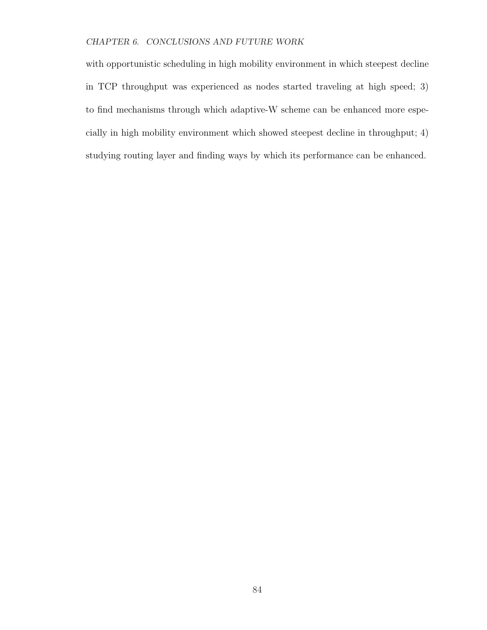## CHAPTER 6. CONCLUSIONS AND FUTURE WORK

with opportunistic scheduling in high mobility environment in which steepest decline in TCP throughput was experienced as nodes started traveling at high speed; 3) to find mechanisms through which adaptive-W scheme can be enhanced more especially in high mobility environment which showed steepest decline in throughput; 4) studying routing layer and finding ways by which its performance can be enhanced.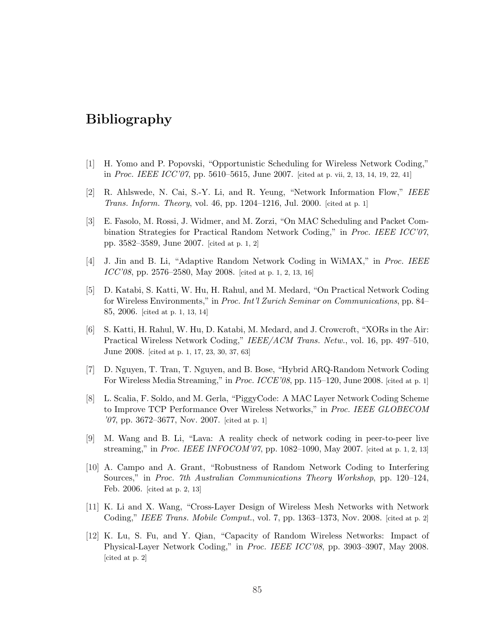## Bibliography

- [1] H. Yomo and P. Popovski, "Opportunistic Scheduling for Wireless Network Coding," in Proc. IEEE  $ICC'07$ , pp. 5610–5615, June 2007. [cited at p. vii, 2, 13, 14, 19, 22, 41]
- [2] R. Ahlswede, N. Cai, S.-Y. Li, and R. Yeung, "Network Information Flow," IEEE Trans. Inform. Theory, vol. 46, pp. 1204–1216, Jul. 2000. [cited at p. 1]
- [3] E. Fasolo, M. Rossi, J. Widmer, and M. Zorzi, "On MAC Scheduling and Packet Combination Strategies for Practical Random Network Coding," in Proc. IEEE ICC'07, pp. 3582–3589, June 2007. [cited at p. 1, 2]
- [4] J. Jin and B. Li, "Adaptive Random Network Coding in WiMAX," in Proc. IEEE ICC'08, pp. 2576–2580, May 2008. [cited at p. 1, 2, 13, 16]
- [5] D. Katabi, S. Katti, W. Hu, H. Rahul, and M. Medard, "On Practical Network Coding for Wireless Environments," in Proc. Int'l Zurich Seminar on Communications, pp. 84– 85, 2006. [cited at p. 1, 13, 14]
- [6] S. Katti, H. Rahul, W. Hu, D. Katabi, M. Medard, and J. Crowcroft, "XORs in the Air: Practical Wireless Network Coding," IEEE/ACM Trans. Netw., vol. 16, pp. 497–510, June 2008. [cited at p. 1, 17, 23, 30, 37, 63]
- [7] D. Nguyen, T. Tran, T. Nguyen, and B. Bose, "Hybrid ARQ-Random Network Coding For Wireless Media Streaming," in Proc. ICCE'08, pp. 115-120, June 2008. [cited at p. 1]
- [8] L. Scalia, F. Soldo, and M. Gerla, "PiggyCode: A MAC Layer Network Coding Scheme to Improve TCP Performance Over Wireless Networks," in Proc. IEEE GLOBECOM '07, pp. 3672–3677, Nov. 2007. [cited at p. 1]
- [9] M. Wang and B. Li, "Lava: A reality check of network coding in peer-to-peer live streaming," in *Proc. IEEE INFOCOM'07*, pp. 1082–1090, May 2007. [cited at p. 1, 2, 13]
- [10] A. Campo and A. Grant, "Robustness of Random Network Coding to Interfering Sources," in Proc. 7th Australian Communications Theory Workshop, pp. 120–124, Feb. 2006. [cited at p. 2, 13]
- [11] K. Li and X. Wang, "Cross-Layer Design of Wireless Mesh Networks with Network Coding," IEEE Trans. Mobile Comput., vol. 7, pp. 1363–1373, Nov. 2008. [cited at p. 2]
- [12] K. Lu, S. Fu, and Y. Qian, "Capacity of Random Wireless Networks: Impact of Physical-Layer Network Coding," in Proc. IEEE ICC'08, pp. 3903–3907, May 2008. [cited at p. 2]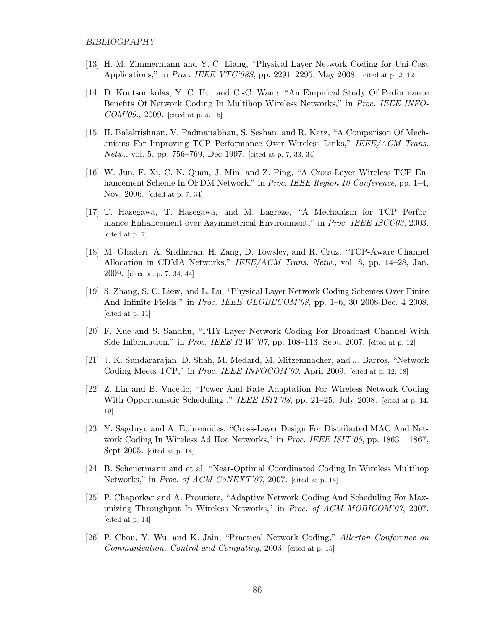- [13] H.-M. Zimmermann and Y.-C. Liang, "Physical Layer Network Coding for Uni-Cast Applications," in *Proc. IEEE VTC'08S*, pp. 2291–2295, May 2008. [cited at p. 2, 12]
- [14] D. Koutsonikolas, Y. C. Hu, and C.-C. Wang, "An Empirical Study Of Performance Benefits Of Network Coding In Multihop Wireless Networks," in Proc. IEEE INFO- $COM'09., 2009.$  [cited at p. 5, 15]
- [15] H. Balakrishnan, V. Padmanabhan, S. Seshan, and R. Katz, "A Comparison Of Mechanisms For Improving TCP Performance Over Wireless Links," IEEE/ACM Trans. Netw., vol. 5, pp. 756–769, Dec 1997. [cited at p. 7, 33, 34]
- [16] W. Jun, F. Xi, C. N. Quan, J. Min, and Z. Ping, "A Cross-Layer Wireless TCP Enhancement Scheme In OFDM Network," in *Proc. IEEE Region 10 Conference*, pp. 1–4, Nov. 2006. [cited at p. 7, 34]
- [17] T. Hasegawa, T. Hasegawa, and M. Lagreze, "A Mechanism for TCP Performance Enhancement over Asymmetrical Environment," in Proc. IEEE ISCC03, 2003. [cited at p. 7]
- [18] M. Ghaderi, A. Sridharan, H. Zang, D. Towsley, and R. Cruz, "TCP-Aware Channel Allocation in CDMA Networks," IEEE/ACM Trans. Netw., vol. 8, pp. 14–28, Jan. 2009. [cited at p. 7, 34, 44]
- [19] S. Zhang, S. C. Liew, and L. Lu, "Physical Layer Network Coding Schemes Over Finite And Infinite Fields," in Proc. IEEE GLOBECOM'08, pp. 1–6, 30 2008-Dec. 4 2008. [cited at p. 11]
- [20] F. Xue and S. Sandhu, "PHY-Layer Network Coding For Broadcast Channel With Side Information," in *Proc. IEEE ITW '07*, pp. 108–113, Sept. 2007. [cited at p. 12]
- [21] J. K. Sundararajan, D. Shah, M. Medard, M. Mitzenmacher, and J. Barros, "Network Coding Meets TCP," in *Proc. IEEE INFOCOM'09*, April 2009. [cited at p. 12, 18]
- [22] Z. Lin and B. Vucetic, "Power And Rate Adaptation For Wireless Network Coding With Opportunistic Scheduling ," IEEE ISIT'08, pp. 21–25, July 2008. [cited at p. 14, 19]
- [23] Y. Sagduyu and A. Ephremides, "Cross-Layer Design For Distributed MAC And Network Coding In Wireless Ad Hoc Networks," in *Proc. IEEE ISIT'05*, pp. 1863 – 1867, Sept 2005. [cited at p. 14]
- [24] B. Scheuermann and et al, "Near-Optimal Coordinated Coding In Wireless Multihop Networks," in Proc. of ACM CoNEXT'07, 2007. [cited at p. 14]
- [25] P. Chaporkar and A. Proutiere, "Adaptive Network Coding And Scheduling For Maximizing Throughput In Wireless Networks," in Proc. of ACM MOBICOM'07, 2007. [cited at p. 14]
- [26] P. Chou, Y. Wu, and K. Jain, "Practical Network Coding," Allerton Conference on Communication, Control and Computing, 2003. [cited at p. 15]